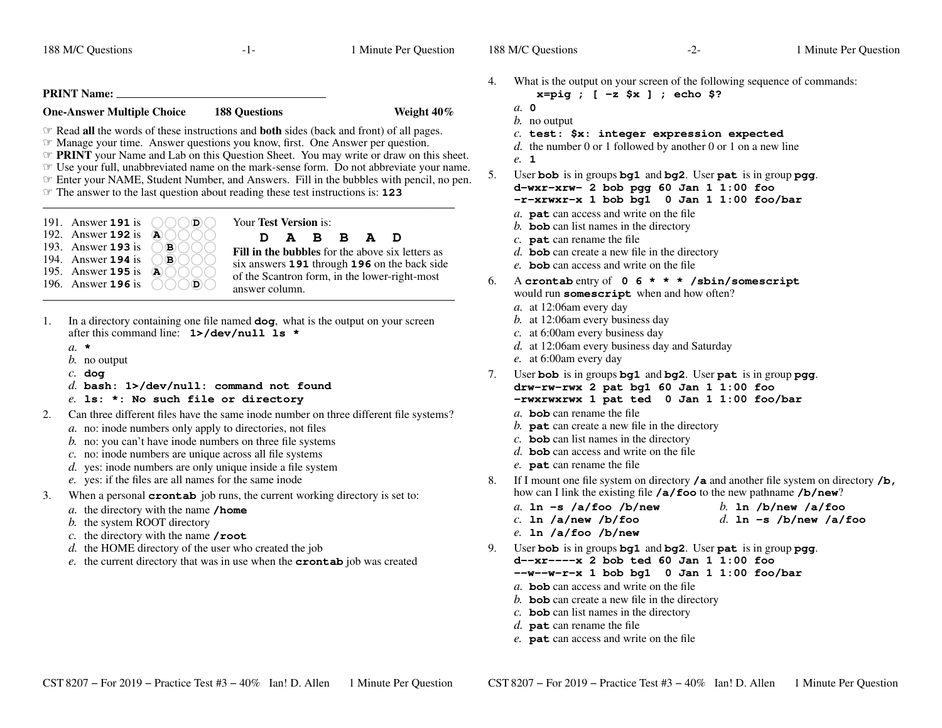|  |  | 188 M/C Questions |
|--|--|-------------------|
|--|--|-------------------|

 $-1-$  1

Minute Per Question

188 M/C Questions

**PRINT Name:One-Answer Multiple Choice 188 Questions Weight 40%** ☞ Read **all** the words of these instructions and **both** sides (back and front) of all pages. **EXECUTE:** Manage your time. Answer questions you know, first. One Answer per question. Manage your time. Answer questions you know, first. One Answer per question. ☞**☞ PRINT** your Name and Lab on this Question Sheet. You may write or draw on this sheet.<br>☞ Use your full unabbreviated name on the mark-sense form. Do not abbreviate your name Use your full, unabbreviated name on the mark-sense form. Do not abbreviate your name. ☞ Enter your NAME, Student Number, and Answers. Fill in the bubbles with pencil, no pen. ☞ The answer to the last question about reading these test instructions is: **<sup>123</sup>** Your **Test Version** is: **DABBAD Fill in the bubbles** for the above six letters as six answers **<sup>191</sup>** through **<sup>196</sup>** on the back side of the Scantron form, in the lower-right-mostanswer column.191. Answer **<sup>191</sup>** is **D**192. Answer **<sup>192</sup>** is **A**193. Answer **<sup>193</sup>** is **B B**194. Answer **<sup>194</sup>** is 195. Answer **<sup>195</sup>** is **A** 196. Answer **<sup>196</sup>** is **D**1. In <sup>a</sup> directory containing one file named **dog**, what is the output on your screen after this command line: **1>/dev/null ls \****a.* **\*** *b.* no output*c.* **dog** *d.* **bash: 1>/dev/null: command not found***e.* **ls: \*: No such file or directory** 2. Can three different files have the same inode number on three different file systems? *a.* no: inode numbers only apply to directories, not files*b*. no: you can't have inode numbers on three file systems *c.* no: inode numbers are unique across all file systems *d.* yes: inode numbers are only unique inside a file system*e.* yes: if the files are all names for the same inode 3. When <sup>a</sup> persona<sup>l</sup> **crontab** job runs, the current working directory is set to: *a.* the directory with the name **/home***b.* the system ROOT directory *c.* the directory with the name **/root** *d.* the HOME directory of the user who created the job *e.* the current directory that was in use when the **crontab** job was created 4. What is the output on your screen of the following sequence of commands: **x=pig ; [ -z \$x ] ; echo \$?***a.* **0** *b.* no output *c.* **test: \$x: integer expression expected** *d.* the number 0 or 1 followed by another 0 or 1 on a new line*e.* **<sup>1</sup>** 5. User **bob** is in groups **bg1** and **bg2**. User **pat** is in group **pgg**. **d-wxr-xrw- 2 bob pgg 60 Jan 1 1:00 foo -r-xrwxr-x 1 bob bg1 <sup>0</sup> Jan 1 1:00 foo/bar** *a.* **pat** can access and write on the file *b.* **bob** can list names in the directory *c.* **pat** can rename the file *d.* **bob** can create a new file in the directory *e.* **bob** can access and write on the file  $6.$  **crontab** entry of **06\*\*\*/sbin/somescript** would run **somescript** when and how often? *a.* at 12:06am every day *b.* at 12:06am every business day *c.* at 6:00am every business day *d.* at 12:06am every business day and Saturday*e.* at 6:00am every day 7. User **bob** is in groups **bg1** and **bg2**. User **pat** is in group **pgg**. **drw-rw-rwx 2 pat bg1 60 Jan 1 1:00 foo -rwxrwxrwx 1 pat ted <sup>0</sup> Jan 1 1:00 foo/bar** *a.* **bob** can rename the file *b.* **pat** can create a new file in the directory *c.* **bob** can list names in the directory *d.* **bob** can access and write on the file *e.* **pat** can rename the file 8. If <sup>I</sup> mount one file system on directory **/a** and another file system on directory **/b,** how can I link the existing file **/a/foo** to the new pathname **/b/new**? *a.* **ln -s /a/foo /b/new** *b.* **ln /b/new /a/foo** *c.* **ln /a/new /b/foo** *d.* **ln -s /b/new /a/foo** *e.* **ln /a/foo /b/new** 9. User **bob** is in groups **bg1** and **bg2**. User **pat** is in group **pgg**. **d--xr----x 2 bob ted 60 Jan 1 1:00 foo --w--w-r-x 1 bob bg1 <sup>0</sup> Jan 1 1:00 foo/bar** *a.* **bob** can access and write on the file *b.* **bob** can create a new file in the directory *c.* **bob** can list names in the directory *d.* **pat** can rename the file *e.* **pat** can access and write on the file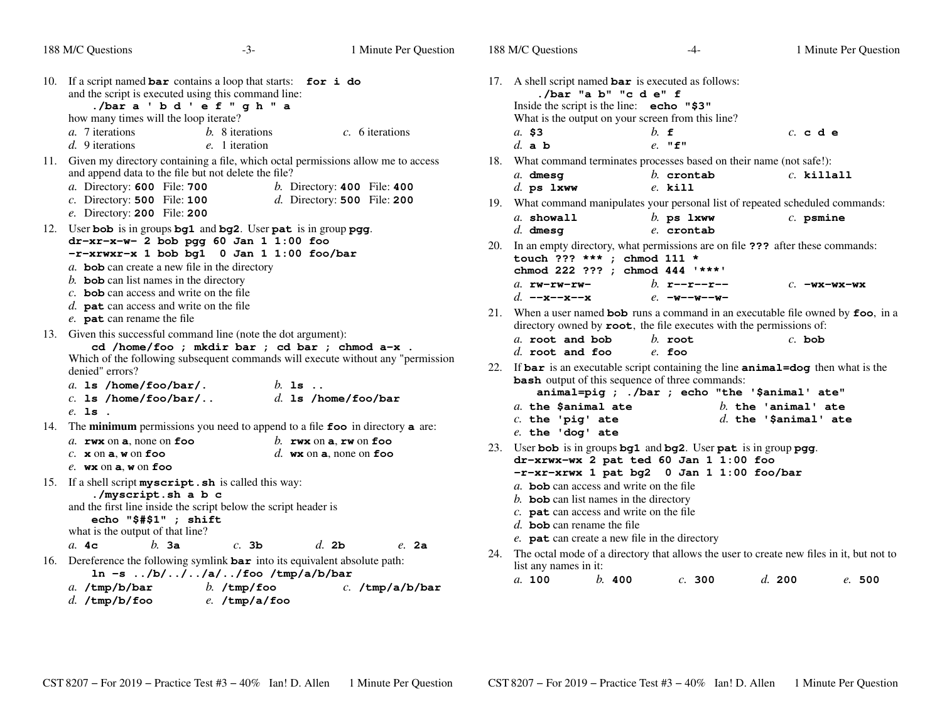| 188 M/C Questions                                                                                                                                                                 | $-3-$                                              | 1 Minute Per Question                                                            | 18 |
|-----------------------------------------------------------------------------------------------------------------------------------------------------------------------------------|----------------------------------------------------|----------------------------------------------------------------------------------|----|
| 10.<br>If a script named $bar$ contains a loop that starts:<br>and the script is executed using this command line:<br>./bara 'bd'ef"gh"a<br>how many times will the loop iterate? |                                                    | for i do                                                                         | 17 |
| a. 7 iterations<br>$d.$ 9 iterations                                                                                                                                              | b. 8 iterations<br>e. 1 iteration                  | $c. 6$ iterations                                                                |    |
| 11.<br>and append data to the file but not delete the file?                                                                                                                       |                                                    | Given my directory containing a file, which octal permissions allow me to access | 18 |
| a. Directory: 600 File: 700<br>$c$ . Directory: <b>500</b> File: <b>100</b><br>e. Directory: 200 File: 200                                                                        |                                                    | $b.$ Directory: 400 File: 400<br>$d.$ Directory: 500 File: 200                   | 19 |
| User bob is in groups bg1 and bg2. User pat is in group pgg.<br>12.<br>$dr - xr - x - w - 2$ bob pgg 60 Jan 1 1:00 foo<br>-r-xrwxr-x 1 bob bg1 0 Jan 1 1:00 foo/bar               |                                                    |                                                                                  | 20 |
| $a$ . <b>bob</b> can create a new file in the directory<br>$b$ . bob can list names in the directory                                                                              |                                                    |                                                                                  |    |
| $c$ . <b>bob</b> can access and write on the file<br>d. $pat$ can access and write on the file<br>e. pat can rename the file                                                      |                                                    |                                                                                  | 21 |
| Given this successful command line (note the dot argument):<br>13.<br>denied" errors?                                                                                             | cd /home/foo ; mkdir bar ; cd bar ; chmod a-x .    | Which of the following subsequent commands will execute without any "permission  | 22 |
| a. 1s /home/foo/bar/.<br>$c.$ 1s /home/foo/bar/                                                                                                                                   | $b.$ is $.$                                        | $d.$ 1s /home/foo/bar                                                            |    |
| $e.$ 1s.<br>14.<br>The minimum permissions you need to append to a file foo in directory a are:                                                                                   |                                                    |                                                                                  |    |
| $a.$ rwx on a, none on foo<br>$c.$ x on a, w on foo<br>$e.$ wx on $a$ , w on foo                                                                                                  |                                                    | b. rwx on $a$ , rw on foo<br>d. wx on a, none on foo                             | 23 |
| If a shell script myscript.sh is called this way:<br>15.<br>./myscript.sh a b c<br>and the first line inside the script below the script header is<br>echo "\$#\$1" ; shift       |                                                    |                                                                                  |    |
| what is the output of that line?<br>$h.$ 3a<br>a.4c                                                                                                                               | $c.$ 3b                                            | $d.$ 2b<br>$e.$ 2a                                                               |    |
| Dereference the following symlink bar into its equivalent absolute path:<br>16.<br>$a.$ /tmp/b/bar                                                                                | $\ln -s$ /b///a//foo /tmp/a/b/bar<br>$b.$ /tmp/foo | $c.$ /tmp/a/b/bar                                                                | 24 |
| $d.$ /tmp/b/foo                                                                                                                                                                   | e./tmp/a/foo                                       |                                                                                  |    |

|     | 188 M/C Questions                                                                                                                                                                              | $-4-$                          | 1 Minute Per Question  |
|-----|------------------------------------------------------------------------------------------------------------------------------------------------------------------------------------------------|--------------------------------|------------------------|
|     | 17. A shell script named $bar$ is executed as follows:<br>./bar "a b" "c d e" f<br>Inside the script is the line: echo "\$3"<br>What is the output on your screen from this line?              |                                |                        |
|     | a. \$3                                                                                                                                                                                         | $h$ f                          | c. c. d. e             |
|     | $d.$ a b                                                                                                                                                                                       | $e.$ "f"                       |                        |
|     | 18. What command terminates processes based on their name (not safe!):                                                                                                                         |                                |                        |
|     | $a.$ dmesg<br>$d.$ ps $1$ xww                                                                                                                                                                  | $h$ . crontab<br>$e.$ kill     | $c.$ killall           |
|     | 19. What command manipulates your personal list of repeated scheduled commands:                                                                                                                |                                |                        |
|     | $a.$ showall<br>$d.$ dmesq                                                                                                                                                                     | $b$ . ps $1$ xww<br>e. crontab | $c.$ psmine            |
| 20. | In an empty directory, what permissions are on file ??? after these commands:<br>touch ??? *** ; chmod 111 *<br>chmod 222 ??? ; chmod 444 '***'                                                |                                |                        |
|     | $a.$ $rw-rw-rw-$                                                                                                                                                                               | b. $r-r-r-r-$                  | $c.$ -wx-wx-wx         |
|     | d. $--x--x--x$                                                                                                                                                                                 | $e. -w - -w - -w -$            |                        |
| 21. | When a user named bob runs a command in an executable file owned by foo, in a<br>directory owned by root, the file executes with the permissions of:                                           |                                |                        |
|     | a. root and bob                                                                                                                                                                                | $h$ . root                     | $c.$ bob               |
|     | $d.$ root and foo                                                                                                                                                                              | $e$ foo                        |                        |
|     | 22. If bar is an executable script containing the line animal=dog then what is the<br><b>bash</b> output of this sequence of three commands:<br>animal=pig ; ./bar ; echo "the '\$animal' ate" |                                |                        |
|     | a. the \$animal ate                                                                                                                                                                            |                                | $b.$ the 'animal' ate  |
|     | $c.$ the 'pig' ate                                                                                                                                                                             |                                | $d.$ the 'Sanimal' ate |
| 23. | $e.$ the 'dog' ate<br>User bob is in groups bg1 and bg2. User pat is in group pgg.<br>dr-xrwx-wx 2 pat ted 60 Jan 1 1:00 foo<br>-r-xr-xrwx 1 pat bg2 0 Jan 1 1:00 foo/bar                      |                                |                        |
|     | $a$ . bob can access and write on the file                                                                                                                                                     |                                |                        |
|     | b. bob can list names in the directory                                                                                                                                                         |                                |                        |
|     | $c$ . <b>pat</b> can access and write on the file                                                                                                                                              |                                |                        |
|     | d. <b>bob</b> can rename the file                                                                                                                                                              |                                |                        |
|     | e. pat can create a new file in the directory                                                                                                                                                  |                                |                        |
| 24. | The octal mode of a directory that allows the user to create new files in it, but not to<br>list any names in it:                                                                              |                                |                        |

 $b.400$ *a.* **100***b.* **<sup>400</sup>** *c.* **<sup>300</sup>** *d.* **<sup>200</sup>** *e.* **<sup>500</sup>**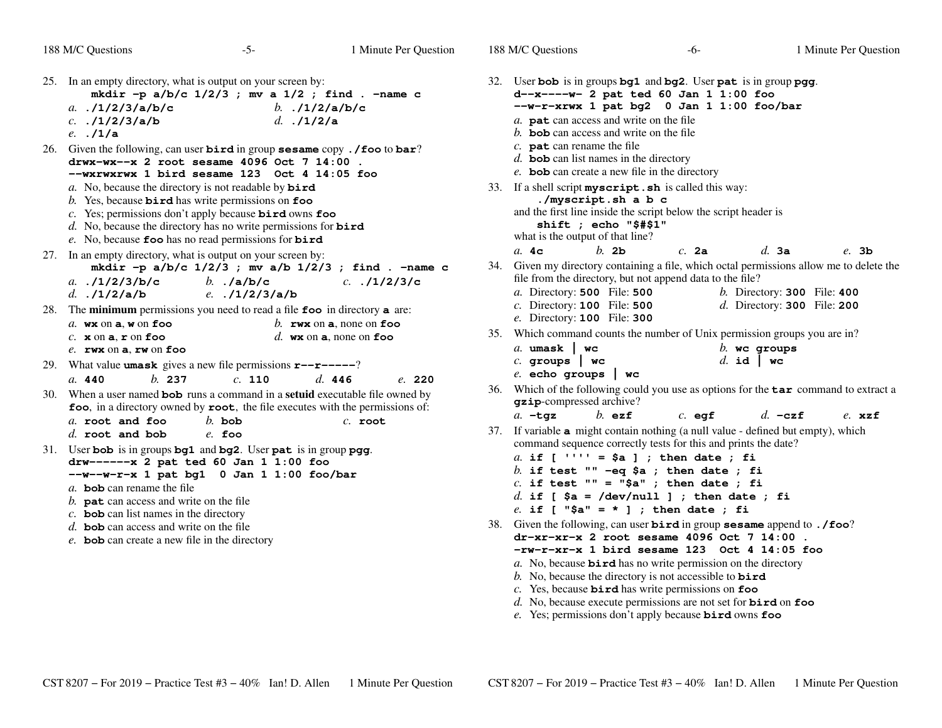|  |  | 188 M/C Questions |
|--|--|-------------------|
|--|--|-------------------|

| 25. In an empty directory, what is output on your screen by:<br>mkdir -p $a/b/c$ 1/2/3 ; mv a 1/2 ; find . -name c                                                                                                                                                                                                                                                                                                        |     | 32. User bob is in<br>d--x----w-                                                                                                                                                                                                 |
|---------------------------------------------------------------------------------------------------------------------------------------------------------------------------------------------------------------------------------------------------------------------------------------------------------------------------------------------------------------------------------------------------------------------------|-----|----------------------------------------------------------------------------------------------------------------------------------------------------------------------------------------------------------------------------------|
| a. $.1/2/3/a/b/c$<br>b. $.12/a/b/c$<br>$c.$ ./1/2/3/a/b<br>$d.$ ./1/2/a<br>$e.$ . $/1/a$                                                                                                                                                                                                                                                                                                                                  |     | --W-r-xrwx<br>a. pat can acc<br>b. <b>bob</b> can acc                                                                                                                                                                            |
| 26.<br>Given the following, can user $\text{bird}$ in group sesame copy. /foo to bar?<br>drwx-wx--x 2 root sesame 4096 Oct 7 14:00.<br>$-$ wxrwxrwx 1 bird sesame 123 Oct 4 14:05 foo                                                                                                                                                                                                                                     |     | $c.$ pat can ren<br>$d.$ bob can list<br>e. bob can cre                                                                                                                                                                          |
| a. No, because the directory is not readable by $\vec{b} \cdot \vec{r}$<br>b. Yes, because $\boldsymbol{\text{bird}}$ has write permissions on $\boldsymbol{\text{foo}}$<br>$c$ . Yes; permissions don't apply because <b>bird</b> owns foo<br>d. No, because the directory has no write permissions for $\vec{b} \cdot \vec{r}$<br>e. No, because foo has no read permissions for $bird$                                 |     | 33. If a shell script:<br>./myscr<br>and the first line<br>shift;<br>what is the outp                                                                                                                                            |
| In an empty directory, what is output on your screen by:<br>27.<br>mkdir -p $a/b/c$ 1/2/3; mv $a/b$ 1/2/3; find. -name c<br>b. $./a/b/c$<br>$c.$ $.11/2/3/c$<br>a. $.11/2/3/b/c$<br>$e.$ ./1/2/3/a/b<br>d. $.1/2/a/b$                                                                                                                                                                                                     |     | a.4c<br>34. Given my direc<br>file from the dir<br>a. Directory: 5                                                                                                                                                               |
| The minimum permissions you need to read a file foo in directory a are:<br>28.                                                                                                                                                                                                                                                                                                                                            |     | $c$ . Directory: 1                                                                                                                                                                                                               |
| $a$ . wx on $a$ , w on foo<br>b. rwx on a, none on foo                                                                                                                                                                                                                                                                                                                                                                    | 35. | e. Directory: 1<br>Which comman                                                                                                                                                                                                  |
| $c.$ x on a, $r$ on foo<br>d. wx on $a$ , none on foo<br>$e.$ rwx on a, rw on foo<br>29.<br>What value <b>umask</b> gives a new file permissions $\mathbf{r}$ - $\mathbf{r}$ - $\mathbf{r}$ - $\mathbf{r}$                                                                                                                                                                                                                |     | a. $umask$   $\cdot$<br>$c.$ groups                                                                                                                                                                                              |
| h.237<br>c. 110<br>d. 446<br>a. 440<br>e. 220                                                                                                                                                                                                                                                                                                                                                                             |     | e. echo gro<br>36. Which of the fo                                                                                                                                                                                               |
| When a user named <b>bob</b> runs a command in a <b>setuid</b> executable file owned by<br>30.<br>foo, in a directory owned by root, the file executes with the permissions of:                                                                                                                                                                                                                                           |     | gzip-compress<br>$a. -tqz$                                                                                                                                                                                                       |
| a. root and foo<br>$b$ . bob<br>$c.$ root                                                                                                                                                                                                                                                                                                                                                                                 | 37. | If variable $a$ m                                                                                                                                                                                                                |
| $d.$ root and bob<br>$e$ . foo<br>User bob is in groups bg1 and bg2. User pat is in group pgg.<br>31.<br>drw------ x 2 pat ted 60 Jan 1 1:00 foo<br>--w--w-r-x 1 pat bg1 0 Jan 1 1:00 foo/bar<br>a. bob can rename the file<br>b. $\mathbf{pat}$ can access and write on the file<br>c. bob can list names in the directory<br>$d.$ bob can access and write on the file<br>e. bob can create a new file in the directory |     | command seque<br>$a.$ if $\Gamma$<br>$\mathbf{I}$ , $\mathbf{I}$ , $\mathbf{I}$<br>$b.$ if test<br>$c.$ if test<br>$d.$ if [ $$a$<br>e. if [ "\$a<br>38. Given the follow<br>$dr - xr - xr -x$<br>$-rw-r-xr-x$<br>a. No, because |

 is in groups **bg1** and **bg2**. User **pat** is in group **pgg**. **d--x----w- 2 pat ted 60 Jan 1 1:00 foo --w-r-xrwx 1 pat bg2 <sup>0</sup> Jan 1 1:00 foo/bar** cess and write on the file cess and write on the file ame the file names in the directory eate a new file in the directory <sup>a</sup> shell script **myscript.sh** is called this way: **./myscript.sh a b c** and the first line inside the script below the script header is**shift ; echo "\$#\$1"**but of that line? *b.* **2b** *c.* **2a** *d.* **3a** *e.* **3b** tory containing a file, which octal permissions allow me to delete the filter frectory, but not append data to the file? File: **<sup>500</sup>** *b.* Directory: **<sup>300</sup>** File: **<sup>400</sup> 500 100** File: **<sup>500</sup>** *d.* Directory: **<sup>300</sup>** File: **<sup>200</sup> 100** File: **<sup>300</sup>** d counts the number of Unix permission groups you are in? **wc**  *b.* **wc groups groups | wc** *d.* **id | wc echo groups | wc** of the following could you use as options for the **tar** command to extract a **g**sed archive? *b.* **ezf** *c.* **eg<sup>f</sup>** *d.* **-czf** *e.* **xzf** ight contain nothing (a null value - defined but empty), which ence correctly tests for this and prints the date?  $' = $a ]$ ; then date; fi **if test "" -eq \$a ; then date ; fi if test "" = "\$a" ; then date ; fi if [ \$a = /dev/null ] ; then date ; fi** $\mathbf{I}'' = * \mathbf{I}$ ; then date; fi 38. Given the following, can user **bird** in group **sesame** append to **./foo**? **dr-xr-xr-x 2 root sesame 4096 Oct 7 14:00 .-rw-r-xr-x 1 bird sesame 123 Oct 4 14:05 foo**

- **bird** has no write permission on the directory
- No, because the directory is not accessible to **bird**
- *c.* Yes, because **bird** has write permissions on **foo**
- *d.* No, because execute permissions are not set for **bird** on **foo**
- *e.* Yes; permissions don't apply because **bird** owns **foo**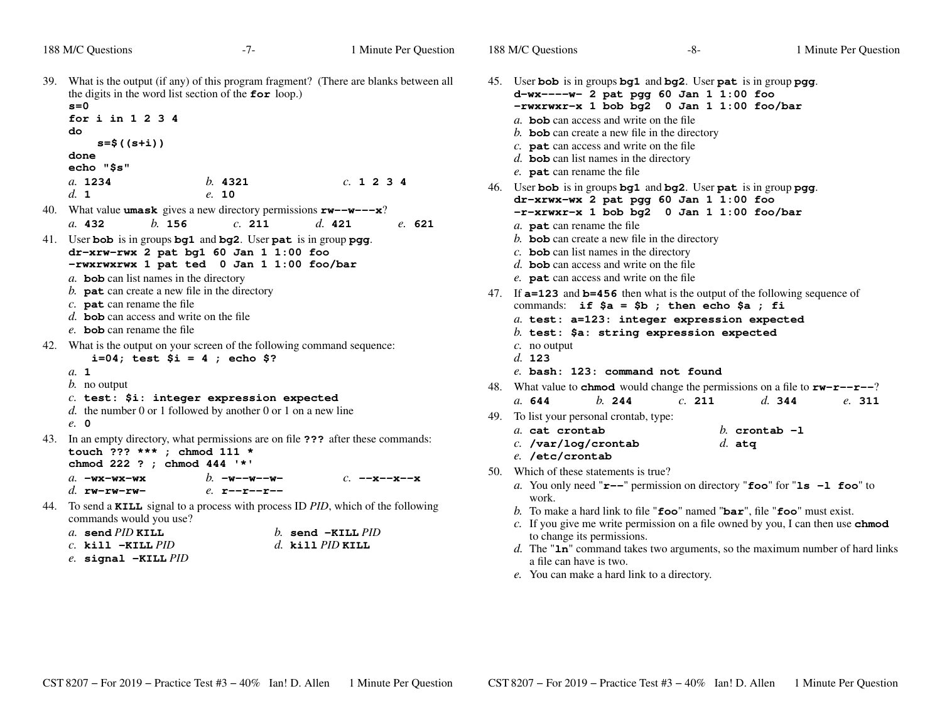|                                                                                                                                                                                                                                                                  | 188 M/C Questions                                                                                                                                                                                                                                                                                                                                                      | $-7-$                                | 1 Minute Per Question                                                                                                                                                                                                                                                                                                                                                                                 |     | 188 M/C Questions                                                                                                                                                                                                                                                                                                                                                                                                                            | -8-                                                                                                                                                                                                       |                  | 1 Minute Per Question |  |  |
|------------------------------------------------------------------------------------------------------------------------------------------------------------------------------------------------------------------------------------------------------------------|------------------------------------------------------------------------------------------------------------------------------------------------------------------------------------------------------------------------------------------------------------------------------------------------------------------------------------------------------------------------|--------------------------------------|-------------------------------------------------------------------------------------------------------------------------------------------------------------------------------------------------------------------------------------------------------------------------------------------------------------------------------------------------------------------------------------------------------|-----|----------------------------------------------------------------------------------------------------------------------------------------------------------------------------------------------------------------------------------------------------------------------------------------------------------------------------------------------------------------------------------------------------------------------------------------------|-----------------------------------------------------------------------------------------------------------------------------------------------------------------------------------------------------------|------------------|-----------------------|--|--|
| 39. What is the output (if any) of this program fragment? (There are blanks between all<br>the digits in the word list section of the for loop.)<br>$s = 0$<br>for $i$ in 1234<br>do<br>$s = $ ((s + i))$<br>done<br>echo "\$s"<br>a. 1234<br>c. 1234<br>b. 4321 |                                                                                                                                                                                                                                                                                                                                                                        |                                      |                                                                                                                                                                                                                                                                                                                                                                                                       |     | 45. User bob is in groups bg1 and bg2. User pat is in group pgg.<br>d-wx----w- 2 pat pgg 60 Jan 1 1:00 foo<br>-rwxrwxr-x 1 bob bg2 0 Jan 1 1:00 foo/bar<br>a. bob can access and write on the file<br>b. bob can create a new file in the directory<br>$c$ . <b>pat</b> can access and write on the file<br>d. bob can list names in the directory<br>e. pat can rename the file                                                             |                                                                                                                                                                                                           |                  |                       |  |  |
|                                                                                                                                                                                                                                                                  | d. 1                                                                                                                                                                                                                                                                                                                                                                   | e. 10                                |                                                                                                                                                                                                                                                                                                                                                                                                       |     |                                                                                                                                                                                                                                                                                                                                                                                                                                              | 46. User bob is in groups bg1 and bg2. User pat is in group pgg.<br>dr-xrwx-wx 2 pat pgg 60 Jan 1 1:00 foo                                                                                                |                  |                       |  |  |
| 40.                                                                                                                                                                                                                                                              | What value <b>umask</b> gives a new directory permissions $rw--w--x$ ?<br>b. 156<br>a. 432                                                                                                                                                                                                                                                                             | c. 211                               | d. 421<br>e. 621                                                                                                                                                                                                                                                                                                                                                                                      |     |                                                                                                                                                                                                                                                                                                                                                                                                                                              | -r-xrwxr-x 1 bob bg2 0 Jan 1 1:00 foo/bar                                                                                                                                                                 |                  |                       |  |  |
|                                                                                                                                                                                                                                                                  | 41. User bob is in groups bg1 and bg2. User pat is in group pgg.<br>dr-xrw-rwx 2 pat bg1 60 Jan 1 1:00 foo<br>-rwxrwxrwx 1 pat ted 0 Jan 1 1:00 foo/bar<br>a. bob can list names in the directory<br>b. $\mathbf{pat}$ can create a new file in the directory<br>$c.$ pat can rename the file<br>d. bob can access and write on the file<br>e. bob can rename the file |                                      |                                                                                                                                                                                                                                                                                                                                                                                                       |     | a. pat can rename the file<br>$b$ . <b>bob</b> can create a new file in the directory<br>$c$ . <b>bob</b> can list names in the directory<br>d. <b>bob</b> can access and write on the file<br>e. <b>pat</b> can access and write on the file<br>47. If <b>a=123</b> and <b>b=456</b> then what is the output of the following sequence of<br>commands: if $\$a = \$b$ ; then echo $\$a$ ; fi<br>a. test: a=123: integer expression expected |                                                                                                                                                                                                           |                  |                       |  |  |
|                                                                                                                                                                                                                                                                  | 42. What is the output on your screen of the following command sequence:<br>$i=04$ ; test $$i = 4$ ; echo \$?<br>a. 1                                                                                                                                                                                                                                                  |                                      |                                                                                                                                                                                                                                                                                                                                                                                                       |     | $c$ . no output<br>d. 123<br>e. bash: 123: command not found                                                                                                                                                                                                                                                                                                                                                                                 | $b.$ test: \$a: string expression expected                                                                                                                                                                |                  |                       |  |  |
|                                                                                                                                                                                                                                                                  | <i>b</i> . no output                                                                                                                                                                                                                                                                                                                                                   |                                      |                                                                                                                                                                                                                                                                                                                                                                                                       |     |                                                                                                                                                                                                                                                                                                                                                                                                                                              | 48. What value to <b>chmod</b> would change the permissions on a file to $rw-r-r-2$                                                                                                                       |                  |                       |  |  |
|                                                                                                                                                                                                                                                                  | $c.$ test: \$i: integer expression expected<br>d. the number 0 or 1 followed by another 0 or 1 on a new line                                                                                                                                                                                                                                                           |                                      |                                                                                                                                                                                                                                                                                                                                                                                                       |     | h. 244<br>a. 644<br>49. To list your personal crontab, type:                                                                                                                                                                                                                                                                                                                                                                                 | c. 211                                                                                                                                                                                                    | d. 344           | e. 311                |  |  |
|                                                                                                                                                                                                                                                                  | $e$ , 0<br>43. In an empty directory, what permissions are on file <b>???</b> after these commands:<br>touch ??? *** ; chmod 111 *<br>chmod 222 ? ; chmod 444 '*'                                                                                                                                                                                                      |                                      |                                                                                                                                                                                                                                                                                                                                                                                                       |     | a. cat crontab<br>c. /var/log/crontab<br>e. /etc/crontab                                                                                                                                                                                                                                                                                                                                                                                     | $d.$ atq                                                                                                                                                                                                  | $h$ crontab $-1$ |                       |  |  |
|                                                                                                                                                                                                                                                                  | $a. -$ wx-wx-wx<br>d. $rw-rw-rw-$                                                                                                                                                                                                                                                                                                                                      | $h$ . $-w$ ––w––w–<br>$e.$ r--r--r-- | $c. -x -x -x$                                                                                                                                                                                                                                                                                                                                                                                         | 50. | Which of these statements is true?<br>work.                                                                                                                                                                                                                                                                                                                                                                                                  | a. You only need " $r$ --" permission on directory "foo" for " $ls$ -1 foo" to                                                                                                                            |                  |                       |  |  |
| 44.                                                                                                                                                                                                                                                              | commands would you use?<br>$\cdot$ $\overline{D}$ $\overline{D}$ $\overline{D}$ $\overline{D}$                                                                                                                                                                                                                                                                         |                                      | To send a KILL signal to a process with process ID PID, which of the following<br>$\frac{1}{1}$ $\frac{1}{1}$ $\frac{1}{1}$ $\frac{1}{1}$ $\frac{1}{1}$ $\frac{1}{1}$ $\frac{1}{1}$ $\frac{1}{1}$ $\frac{1}{1}$ $\frac{1}{1}$ $\frac{1}{1}$ $\frac{1}{1}$ $\frac{1}{1}$ $\frac{1}{1}$ $\frac{1}{1}$ $\frac{1}{1}$ $\frac{1}{1}$ $\frac{1}{1}$ $\frac{1}{1}$ $\frac{1}{1}$ $\frac{1}{1}$ $\frac{1}{1}$ |     |                                                                                                                                                                                                                                                                                                                                                                                                                                              | b. To make a hard link to file " $\mathbf{foo}$ " named " $\mathbf{bar}$ ", file " $\mathbf{foo}$ " must exist.<br>c. If you give me write permission on a file owned by you, I can then use <b>chmod</b> |                  |                       |  |  |

- *a.* **send** *PID* **KILL** *b.* **send -KILL** *PID c.* **kill -KILL** *PIDd.* **kill** *PID* **KILL**
- *e.* **signal -KILL** *PID*
- If you give me write permission on a file owned by you, I can then use **chmod** to change its permissions. *d.* The "**ln**" command takes two arguments, so the maximum number of hard links<sup>a</sup> file can have is two.
- *e*. You can make a hard link to a directory.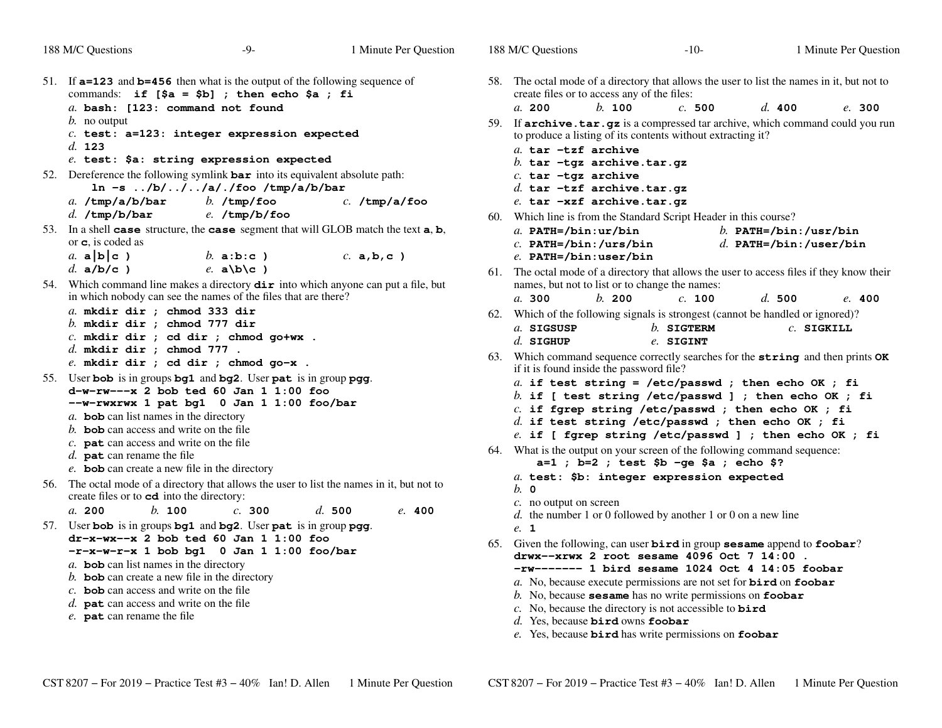| 188 M/C Questions                                                                                                            | $-9-$                        | 1 Minute Per Question | 188 M/C Questions                                                                                                                           |          | $-10-$                                      |                            |              | 1 Minute Per Question |
|------------------------------------------------------------------------------------------------------------------------------|------------------------------|-----------------------|---------------------------------------------------------------------------------------------------------------------------------------------|----------|---------------------------------------------|----------------------------|--------------|-----------------------|
| 51. If a=123 and b=456 then what is the output of the following sequence of<br>commands: if $[5a = 5b]$ ; then echo \$a ; fi |                              |                       | 58. The octal mode of a directory that allows the user to list the names in it, but not to<br>create files or to access any of the files:   |          |                                             |                            |              |                       |
| a. bash: [123: command not found                                                                                             |                              |                       | a. 200                                                                                                                                      | $h.$ 100 | c.500                                       | d. 400                     |              | e. 300                |
| $b$ . no output                                                                                                              |                              |                       | 59. If archive.tar.gz is a compressed tar archive, which command could you run                                                              |          |                                             |                            |              |                       |
| $c.$ test: a=123: integer expression expected<br>d. 123                                                                      |                              |                       | to produce a listing of its contents without extracting it?                                                                                 |          |                                             |                            |              |                       |
| $e$ . test: \$a: string expression expected                                                                                  |                              |                       | a. tar -tzf archive<br>b. tar $-$ tgz archive.tar.gz                                                                                        |          |                                             |                            |              |                       |
| 52. Dereference the following symlink $bar$ into its equivalent absolute path:                                               |                              |                       | $c.$ tar -tgz archive                                                                                                                       |          |                                             |                            |              |                       |
| $\ln$ -s /b///a/./foo /tmp/a/b/bar                                                                                           |                              |                       | d. tar $-tzf$ archive.tar.qz                                                                                                                |          |                                             |                            |              |                       |
| $a.$ /tmp/a/b/bar                                                                                                            | $b.$ /tmp/foo                | $c.$ /tmp/a/foo       | e. tar -xzf archive.tar.gz                                                                                                                  |          |                                             |                            |              |                       |
| $d.$ /tmp/b/bar                                                                                                              | $e.$ /tmp/b/foo              |                       | 60. Which line is from the Standard Script Header in this course?                                                                           |          |                                             |                            |              |                       |
| 53. In a shell case structure, the case segment that will GLOB match the text a, b,                                          |                              |                       | a. $PATH='bin:ur/bin$                                                                                                                       |          |                                             | b. $PATH= /bin$ : /usr/bin |              |                       |
| or $\mathbf c$ , is coded as                                                                                                 |                              |                       | $c.$ PATH=/bin:/urs/bin                                                                                                                     |          |                                             | $d.$ PATH=/bin:/user/bin   |              |                       |
| a. $a b c$ )<br>$d. a/b/c$ )                                                                                                 | b. $a:b:c$ )<br>e. $a/b/c$ ) | c. a.b.c.             | $e.$ PATH=/bin:user/bin                                                                                                                     |          |                                             |                            |              |                       |
| 54. Which command line makes a directory $\text{dir}$ into which anyone can put a file, but                                  |                              |                       | 61. The octal mode of a directory that allows the user to access files if they know their<br>names, but not to list or to change the names: |          |                                             |                            |              |                       |
| in which nobody can see the names of the files that are there?                                                               |                              |                       | a. 300                                                                                                                                      | b. 200   | c. 100                                      | d.500                      |              | e. 400                |
| $a.$ mkdir dir ; chmod 333 dir                                                                                               |                              |                       | 62. Which of the following signals is strongest (cannot be handled or ignored)?                                                             |          |                                             |                            |              |                       |
| $b.$ mkdir dir ; chmod 777 dir                                                                                               |                              |                       | a. SIGSUSP                                                                                                                                  |          | $b.$ SIGTERM                                |                            | $c.$ SIGKILL |                       |
| $c.$ mkdir dir ; cd dir ; chmod go+wx .                                                                                      |                              |                       | $d.$ SIGHUP                                                                                                                                 |          | e. SIGINT                                   |                            |              |                       |
| $d.$ mkdir dir ; chmod 777.<br>$e.$ mkdir dir ; cd dir ; chmod go-x .                                                        |                              |                       | 63. Which command sequence correctly searches for the string and then prints $\alpha$                                                       |          |                                             |                            |              |                       |
| 55. User bob is in groups bg1 and bg2. User pat is in group pgg.                                                             |                              |                       | if it is found inside the password file?                                                                                                    |          |                                             |                            |              |                       |
| $d-w-rw---x$ 2 bob ted 60 Jan 1 1:00 foo                                                                                     |                              |                       | a. if test string = /etc/passwd ; then echo OK ; fi                                                                                         |          |                                             |                            |              |                       |
| --w-rwxrwx 1 pat bg1 0 Jan 1 1:00 foo/bar                                                                                    |                              |                       | b. if [ test string /etc/passwd ] ; then echo OK ; fi<br>c. if fgrep string /etc/passwd ; then echo OK ; fi                                 |          |                                             |                            |              |                       |
| a. <b>bob</b> can list names in the directory                                                                                |                              |                       | $d.$ if test string /etc/passwd ; then echo OK ; fi                                                                                         |          |                                             |                            |              |                       |
| b. <b>bob</b> can access and write on the file                                                                               |                              |                       | e. if [ fgrep string /etc/passwd ] ; then echo OK ; fi                                                                                      |          |                                             |                            |              |                       |
| $c$ . <b>pat</b> can access and write on the file<br>$d.$ pat can rename the file                                            |                              |                       | 64. What is the output on your screen of the following command sequence:                                                                    |          |                                             |                            |              |                       |
| e. bob can create a new file in the directory                                                                                |                              |                       |                                                                                                                                             |          | $a=1$ ; $b=2$ ; test \$b -ge \$a ; echo \$? |                            |              |                       |
| 56. The octal mode of a directory that allows the user to list the names in it, but not to                                   |                              |                       | a. test: \$b: integer expression expected                                                                                                   |          |                                             |                            |              |                       |
| create files or to <b>cd</b> into the directory:                                                                             |                              |                       | $b.$ 0                                                                                                                                      |          |                                             |                            |              |                       |
| h. 100<br>a. 200                                                                                                             | c. 300                       | d.500<br>e. 400       | $c$ . no output on screen<br>$d.$ the number 1 or 0 followed by another 1 or 0 on a new line                                                |          |                                             |                            |              |                       |
| 57. User bob is in groups bg1 and bg2. User pat is in group pgg.                                                             |                              |                       | e. 1                                                                                                                                        |          |                                             |                            |              |                       |
| $dr - x - wx - x$ 2 bob ted 60 Jan 1 1:00 foo                                                                                |                              |                       | 65. Given the following, can user bird in group sesame append to foobar?                                                                    |          |                                             |                            |              |                       |
| $-r-x-w-r-x$ 1 bob bq1 0 Jan 1 1:00 foo/bar                                                                                  |                              |                       | drwx--xrwx 2 root sesame 4096 Oct 7 14:00                                                                                                   |          |                                             |                            |              |                       |
| a. bob can list names in the directory<br>$b$ . bob can create a new file in the directory                                   |                              |                       | -rw------- 1 bird sesame 1024 Oct 4 14:05 foobar                                                                                            |          |                                             |                            |              |                       |
| c. <b>bob</b> can access and write on the file                                                                               |                              |                       | a. No, because execute permissions are not set for <b>bird</b> on <b>foobar</b>                                                             |          |                                             |                            |              |                       |
| $d.$ pat can access and write on the file                                                                                    |                              |                       | $b$ . No, because sesame has no write permissions on foobar<br>c. No, because the directory is not accessible to $\vec{b} \cdot \vec{r}$    |          |                                             |                            |              |                       |
| e. pat can rename the file                                                                                                   |                              |                       | d. Yes. because <b>bird</b> owns <b>foobar</b>                                                                                              |          |                                             |                            |              |                       |
|                                                                                                                              |                              |                       |                                                                                                                                             |          |                                             |                            |              |                       |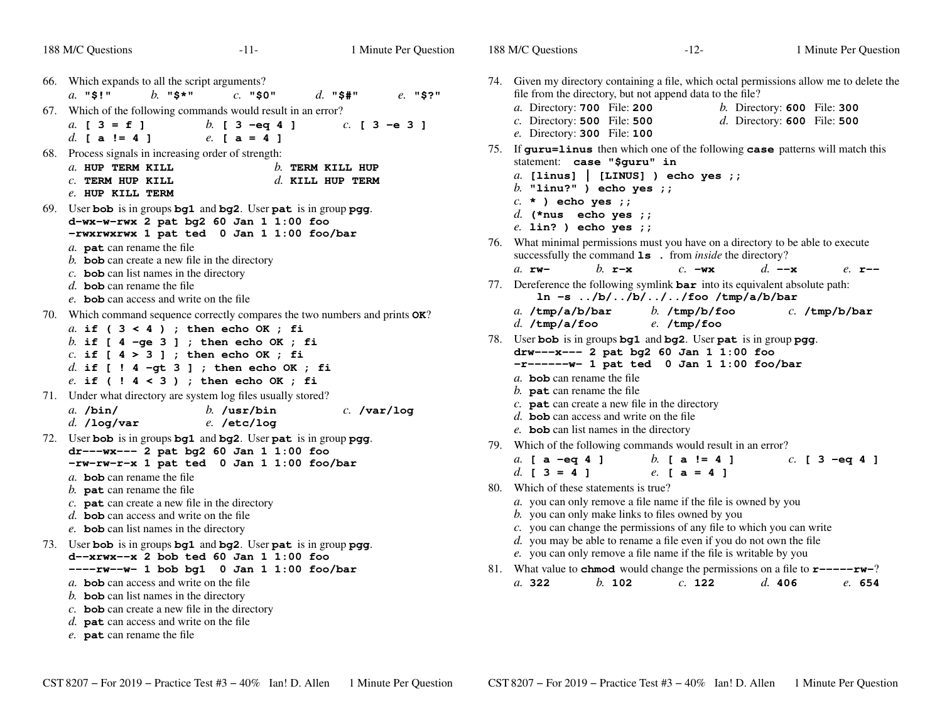| 188 M/C Questions                                                                                                                                                                                                       | $-11-$                                                                                                                                                         | 1 Minute Per Question                      | 188 M/C Questions                                                                                         | $-12-$                                                                                                                                                                                                                                                                                 |                                                                            | 1 Minute Per Question |
|-------------------------------------------------------------------------------------------------------------------------------------------------------------------------------------------------------------------------|----------------------------------------------------------------------------------------------------------------------------------------------------------------|--------------------------------------------|-----------------------------------------------------------------------------------------------------------|----------------------------------------------------------------------------------------------------------------------------------------------------------------------------------------------------------------------------------------------------------------------------------------|----------------------------------------------------------------------------|-----------------------|
| 66. Which expands to all the script arguments?<br>$b.$ "\$*"<br>$a.$ "\$!"                                                                                                                                              | $c.$ "\$0"                                                                                                                                                     | $d.$ "\$#"<br>$e.$ "\$?"                   |                                                                                                           | 74. Given my directory containing a file, which octal permissions allow me to delete the<br>file from the directory, but not append data to the file?                                                                                                                                  |                                                                            |                       |
| a. $[3 = f]$<br>d. $[a := 4]$                                                                                                                                                                                           | 67. Which of the following commands would result in an error?<br>b. $[3 -eq 4]$<br>$e.$ [ a = 4 ]                                                              | $c.$ [ 3 - e 3 ]                           | a. Directory: 700 File: 200<br>$c.$ Directory: <b>500</b> File: <b>500</b><br>e. Directory: 300 File: 100 |                                                                                                                                                                                                                                                                                        | <i>b.</i> Directory: <b>600</b> File: 300<br>$d.$ Directory: 600 File: 500 |                       |
| 68. Process signals in increasing order of strength:<br>a. HUP TERM KILL<br>$c$ . TERM HUP KILL<br>e. HUP KILL TERM                                                                                                     |                                                                                                                                                                | $b$ . TERM KILL HUP<br>$d$ . KILL HUP TERM | statement: case "\$guru" in<br>b. "linu?" ) echo yes $;$                                                  | 75. If guru=linus then which one of the following case patterns will match this<br>$a.$ [linus]   [LINUS] ) echo yes ;;                                                                                                                                                                |                                                                            |                       |
| a. pat can rename the file<br>$b$ . bob can create a new file in the directory                                                                                                                                          | 69. User bob is in groups bg1 and bg2. User pat is in group pgg.<br>$d-wx-w-rwx$ 2 pat bg2 60 Jan 1 1:00 foo<br>-rwxrwxrwx 1 pat ted 0 Jan 1 1:00 foo/bar      |                                            | $c. *$ ) echo yes ;;<br>d. (*nus echo yes ;;<br>$e.$ lin? ) echo yes $i$ ;                                | 76. What minimal permissions must you have on a directory to be able to execute<br>successfully the command <b>1s</b> . from <i>inside</i> the directory?                                                                                                                              |                                                                            |                       |
| $c$ . bob can list names in the directory<br>d. <b>bob</b> can rename the file<br>e. <b>bob</b> can access and write on the file                                                                                        |                                                                                                                                                                |                                            | $a.$ $rw-$                                                                                                | b. $\mathbf{r}-\mathbf{x}$<br>$c. -wx$<br>77. Dereference the following symlink $bar$ into its equivalent absolute path:<br>$\ln -s$ /b//b///foo /tmp/a/b/bar                                                                                                                          | $d. -x$                                                                    | $e.$ $r$ --           |
| a. if $(3 < 4)$ ; then echo OK; fi                                                                                                                                                                                      | 70. Which command sequence correctly compares the two numbers and prints OK?<br>b. if $[4 - qe 3]$ ; then echo OK; fi                                          |                                            | a. $/\text{tmp/a/b/bar}$<br>$d.$ /tmp/a/foo                                                               | b. $/\text{tmp/b/foo}$<br>$e.$ /tmp/foo<br>78. User bob is in groups bg1 and bg2. User pat is in group pgg.                                                                                                                                                                            |                                                                            | $c.$ /tmp/b/bar       |
| $c.$ if [ $4 > 3$ ] ; then echo OK ; fi                                                                                                                                                                                 | $d.$ if [ ! 4 -gt 3 ] ; then echo OK ; fi<br>$e.$ if (! $4 < 3$ ) ; then echo OK ; fi                                                                          |                                            | a. bob can rename the file                                                                                | drw---x--- 2 pat bg2 60 Jan 1 1:00 foo<br>$-r$ ------ $v$ - 1 pat ted 0 Jan 1 1:00 foo/bar                                                                                                                                                                                             |                                                                            |                       |
| $a.$ /bin/<br>$d.$ /log/var                                                                                                                                                                                             | 71. Under what directory are system log files usually stored?<br>$b.$ /usr/bin<br>$e.$ /etc/log                                                                | $c.$ /var/log                              | $b$ . pat can rename the file                                                                             | c. $\mathbf{pat}$ can create a new file in the directory<br>$d.$ bob can access and write on the file<br>e. bob can list names in the directory                                                                                                                                        |                                                                            |                       |
|                                                                                                                                                                                                                         | 72. User bob is in groups bg1 and bg2. User pat is in group pgg.<br>$dr$ --- $wx$ --- 2 pat bg2 60 Jan 1 1:00 foo<br>-rw-rw-r-x 1 pat ted 0 Jan 1 1:00 foo/bar |                                            | a. [ $a -eq 4$ ]                                                                                          | 79. Which of the following commands would result in an error?<br>b. $a := 41$                                                                                                                                                                                                          |                                                                            | $c.$ [ 3 -eq 4 ]      |
| a. <b>bob</b> can rename the file<br>b. $pat$ can rename the file<br>c. $\mathbf{pat}$ can create a new file in the directory<br>$d.$ bob can access and write on the file<br>$e$ . bob can list names in the directory | 73. User bob is in groups bg1 and bg2. User pat is in group pgg.                                                                                               |                                            | d. $[3 = 4]$<br>80. Which of these statements is true?                                                    | $e. \,$ [ a = 4 ]<br>a. you can only remove a file name if the file is owned by you<br>b. you can only make links to files owned by you<br>c. you can change the permissions of any file to which you can write<br>d. you may be able to rename a file even if you do not own the file |                                                                            |                       |
| a. <b>bob</b> can access and write on the file<br>b. bob can list names in the directory<br>$c$ . bob can create a new file in the directory<br>$d.$ pat can access and write on the file<br>e. pat can rename the file | $d$ --xrwx--x 2 bob ted 60 Jan 1 1:00 foo<br>$---rw--w-1$ bob bg1 0 Jan 1 1:00 foo/bar                                                                         |                                            | a. 322                                                                                                    | e. you can only remove a file name if the file is writable by you<br>81. What value to <b>chmod</b> would change the permissions on a file to $\mathbf{r}$ ---- $\mathbf{rw}$ -?<br>$b.$ 102<br>$c.$ 122                                                                               | d. 406                                                                     | e. 654                |

Minute Per Question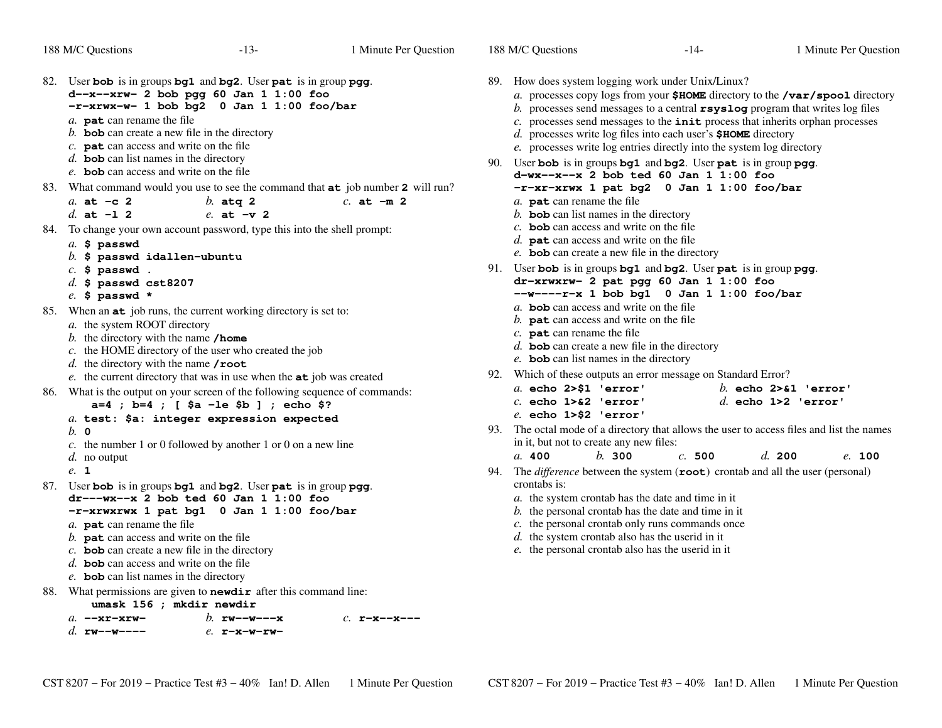| 82. User bob is in groups bg1 and bg2. User pat is in group pgg.<br>$d-x--xrw-2$ bob pgg 60 Jan 1 1:00 foo<br>$-r-rwx-w-1$ bob bg2 0 Jan 1 1:00 foo/bar<br>a. pat can rename the file<br>$b$ . bob can create a new file in the directory<br>$c$ . <b>pat</b> can access and write on the file<br>$d.$ bob can list names in the directory<br>e. <b>bob</b> can access and write on the file    | 89. How does system logging work under Unix/Linux?<br>a. processes copy logs from your $$HOME$ directory to the /var/spool directory<br>b. processes send messages to a central $rsyslog$ program that writes log files<br>$c$ . processes send messages to the $init$ process that inherits orphan processes<br>$d.$ processes write log files into each user's $$HOME$ directory<br>e. processes write log entries directly into the system log directory<br>90. User bob is in groups bg1 and bg2. User pat is in group pgg.<br>$d-wx--x-x$ 2 bob ted 60 Jan 1 1:00 foo |
|-------------------------------------------------------------------------------------------------------------------------------------------------------------------------------------------------------------------------------------------------------------------------------------------------------------------------------------------------------------------------------------------------|----------------------------------------------------------------------------------------------------------------------------------------------------------------------------------------------------------------------------------------------------------------------------------------------------------------------------------------------------------------------------------------------------------------------------------------------------------------------------------------------------------------------------------------------------------------------------|
| 83. What command would you use to see the command that at job number 2 will run?<br>a. at $-c$ 2<br>$b.$ atg 2<br>$c.$ at $-m2$<br>d. at $-1$ 2<br>$e.$ at $-v$ 2                                                                                                                                                                                                                               | -r-xr-xrwx 1 pat bg2 0 Jan 1 1:00 foo/bar<br>a. pat can rename the file<br>$b$ . bob can list names in the directory                                                                                                                                                                                                                                                                                                                                                                                                                                                       |
| 84. To change your own account password, type this into the shell prompt:<br>$a.$ \$ passwd<br>$b.$ \$ passwd idallen-ubuntu<br>$c.$ \$ passwd.                                                                                                                                                                                                                                                 | c. <b>bob</b> can access and write on the file<br>$d.$ pat can access and write on the file<br>e. bob can create a new file in the directory<br>91. User bob is in groups bg1 and bg2. User pat is in group pgg.                                                                                                                                                                                                                                                                                                                                                           |
| $d.$ \$ passwd cst8207<br>$e.$ \$ passwd *                                                                                                                                                                                                                                                                                                                                                      | dr-xrwxrw- 2 pat pgg 60 Jan 1 1:00 foo<br>$--w---r-x 1$ bob bg1 0 Jan 1 1:00 foo/bar                                                                                                                                                                                                                                                                                                                                                                                                                                                                                       |
| 85. When an at job runs, the current working directory is set to:<br>a. the system ROOT directory<br>b. the directory with the name $/$ home<br>c. the HOME directory of the user who created the job<br>d. the directory with the name $\prime$ root                                                                                                                                           | a. <b>bob</b> can access and write on the file<br>$b$ . pat can access and write on the file<br>$c.$ pat can rename the file<br>$d.$ bob can create a new file in the directory<br>e. bob can list names in the directory                                                                                                                                                                                                                                                                                                                                                  |
| e. the current directory that was in use when the <b>at</b> job was created<br>86. What is the output on your screen of the following sequence of commands:<br>$a=4$ ; $b=4$ ; [ $$a - le $b]$ ; echo \$?<br>a. test: \$a: integer expression expected                                                                                                                                          | 92. Which of these outputs an error message on Standard Error?<br>$a.$ echo $2 > $1$ 'error'<br>b. echo $2 > 1$ 'error'<br>$c.$ echo $1 > 2$ 'error'<br>$d.$ echo $1>2$ 'error'<br>$e.$ echo $1 > $2$ 'error'                                                                                                                                                                                                                                                                                                                                                              |
| $b. \circ$<br>c. the number 1 or 0 followed by another 1 or 0 on a new line                                                                                                                                                                                                                                                                                                                     | 93. The octal mode of a directory that allows the user to access files and list the names<br>in it, but not to create any new files:<br>b.300                                                                                                                                                                                                                                                                                                                                                                                                                              |
| $d.$ no output<br>e. 1                                                                                                                                                                                                                                                                                                                                                                          | a. 400<br>c.500<br>d. 200<br>e. 100<br>94. The <i>difference</i> between the system $(root)$ crontab and all the user (personal)                                                                                                                                                                                                                                                                                                                                                                                                                                           |
| 87. User bob is in groups bg1 and bg2. User pat is in group pgg.<br>$dr$ --- $wx$ -- $x$ 2 bob ted 60 Jan 1 1:00 foo<br>-r-xrwxrwx 1 pat bg1 0 Jan 1 1:00 foo/bar<br>a. pat can rename the file<br>$b$ . pat can access and write on the file<br>$c$ . bob can create a new file in the directory<br>$d.$ bob can access and write on the file<br>e. <b>bob</b> can list names in the directory | crontabs is:<br>$a$ . the system crontab has the date and time in it<br>$b$ . the personal crontab has the date and time in it<br>c. the personal crontab only runs commands once<br>$d.$ the system crontab also has the userid in it<br>e. the personal crontab also has the userid in it                                                                                                                                                                                                                                                                                |
| 88. What permissions are given to <b>newdir</b> after this command line:<br>umask 156 ; mkdir newdir                                                                                                                                                                                                                                                                                            |                                                                                                                                                                                                                                                                                                                                                                                                                                                                                                                                                                            |
| $a.$ --xr-xrw-<br>b. $rw--w---x$<br>$c.$ r-x--x---<br>d. $rw = -w = -$<br>$e.$ $r-x-w-rw-$                                                                                                                                                                                                                                                                                                      |                                                                                                                                                                                                                                                                                                                                                                                                                                                                                                                                                                            |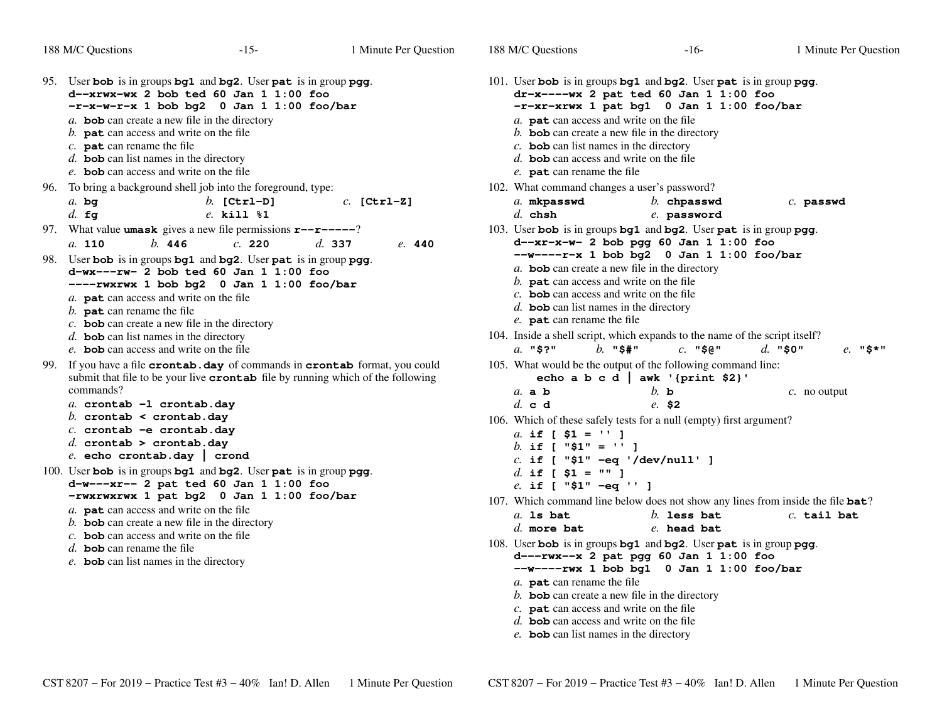| 188 M/C Questions                                                                                                                                                                                                                        | $-15-$                                                                                                                                                                        | 1 Minute Per Question | 188 M/C Questions                                                                                                                                                                                                                                                                                                                                                                                                                            | $-16-$                                                                                                                                                                                    | 1 Minute Per Question |  |  |
|------------------------------------------------------------------------------------------------------------------------------------------------------------------------------------------------------------------------------------------|-------------------------------------------------------------------------------------------------------------------------------------------------------------------------------|-----------------------|----------------------------------------------------------------------------------------------------------------------------------------------------------------------------------------------------------------------------------------------------------------------------------------------------------------------------------------------------------------------------------------------------------------------------------------------|-------------------------------------------------------------------------------------------------------------------------------------------------------------------------------------------|-----------------------|--|--|
| a. <b>bob</b> can create a new file in the directory<br>b. $\mathbf{pat}$ can access and write on the file<br>$c.$ pat can rename the file<br>$d.$ bob can list names in the directory<br>e. <b>bob</b> can access and write on the file | 95. User bob is in groups bg1 and bg2. User pat is in group pgg.<br>$d$ --xrwx-wx 2 bob ted 60 Jan 1 1:00 foo<br>$-r-x-w-r-x$ 1 bob bg2 0 Jan 1 1:00 foo/bar                  |                       | a. pat can access and write on the file<br>$b$ . bob can create a new file in the directory<br>c. <b>bob</b> can list names in the directory<br>d. <b>bob</b> can access and write on the file<br>e. pat can rename the file                                                                                                                                                                                                                 | 101. User bob is in groups bg1 and bg2. User pat is in group pgg.<br>$dr-x---wx$ 2 pat ted 60 Jan 1 1:00 foo<br>-r-xr-xrwx 1 pat bg1 0 Jan 1 1:00 foo/bar                                 |                       |  |  |
| $a.$ bg<br>$d.$ fg                                                                                                                                                                                                                       | 96. To bring a background shell job into the foreground, type:<br>$b.$ [Ctrl-D]<br>e. kill %1                                                                                 | $c.$ [Ctrl-Z]         | 102. What command changes a user's password?<br>a. mkpasswd<br>$d.$ chsh                                                                                                                                                                                                                                                                                                                                                                     | $b.$ chpasswd<br>e. password                                                                                                                                                              | $c.$ passwd           |  |  |
| b. 446<br>$a.$ 110                                                                                                                                                                                                                       | 97. What value <b>umask</b> gives a new file permissions $\mathbf{r}$ - $\mathbf{r}$ - $\mathbf{r}$ - $\mathbf{r}$<br>c. 220                                                  | d.337<br>e. 440       |                                                                                                                                                                                                                                                                                                                                                                                                                                              | 103. User bob is in groups bg1 and bg2. User pat is in group pgg.<br>$d - x - x - w - 2$ bob pgg 60 Jan 1 1:00 foo                                                                        |                       |  |  |
| a. pat can access and write on the file<br>b. $\mathbf{pat}$ can rename the file<br>$c$ . <b>bob</b> can create a new file in the directory<br>$d.$ bob can list names in the directory<br>e. bob can access and write on the file       | 98. User bob is in groups bg1 and bg2. User pat is in group pgg.<br>$d-wx---rw- 2$ bob ted 60 Jan 1 1:00 foo<br>----rwxrwx 1 bob bg2 0 Jan 1 1:00 foo/bar                     |                       | $--w---r-x$ 1 bob bg2 0 Jan 1 1:00 foo/bar<br>$a$ . bob can create a new file in the directory<br>b. $\mathbf{pat}$ can access and write on the file<br>c. <b>bob</b> can access and write on the file<br>$d.$ bob can list names in the directory<br>e. <b>pat</b> can rename the file<br>104. Inside a shell script, which expands to the name of the script itself?<br>$b.$ "\$#"<br>$a.$ "\$?"<br>$c.$ "\$@"<br>$d.$ "\$0"<br>$e.$ "\$*" |                                                                                                                                                                                           |                       |  |  |
| commands?                                                                                                                                                                                                                                | 99. If you have a file <b>crontab. day</b> of commands in <b>crontab</b> format, you could<br>submit that file to be your live crontab file by running which of the following |                       | $a$ . a b                                                                                                                                                                                                                                                                                                                                                                                                                                    | 105. What would be the output of the following command line:<br>echo a b c d   awk '{print \$2}'<br>$h$ b                                                                                 | $c$ . no output       |  |  |
| a. crontab -1 crontab.day<br>b. crontab < crontab.day<br>$c.$ crontab -e crontab.day<br>d. crontab > crontab.day<br>e. echo crontab.day   crond                                                                                          | 100. User bob is in groups bg1 and bg2. User pat is in group pgg.<br>$d-w--xr-- 2$ pat ted 60 Jan 1 1:00 foo<br>-rwxrwxrwx 1 pat bg2 0 Jan 1 1:00 foo/bar                     |                       | d. c d<br>a. if $\begin{bmatrix} $1 = 11 \end{bmatrix}$<br>b. if [ $"\$1" = '' ]$<br>$c.$ if [ "\$1" -eq '/dev/null' ]<br>d. if [ $$1 = "" ]$<br>e. if [ "\$1" -eq '' ]                                                                                                                                                                                                                                                                      | e. S2<br>106. Which of these safely tests for a null (empty) first argument?<br>107. Which command line below does not show any lines from inside the file bat?                           |                       |  |  |
| a. pat can access and write on the file<br>$b$ . bob can create a new file in the directory<br>c. <b>bob</b> can access and write on the file<br>d. <b>bob</b> can rename the file<br>$e$ . bob can list names in the directory          |                                                                                                                                                                               |                       | $a.$ 1s bat<br>$d.$ more bat<br>a. pat can rename the file<br>$b$ . bob can create a new file in the directory<br>$c$ . <b>pat</b> can access and write on the file<br>d. <b>bob</b> can access and write on the file                                                                                                                                                                                                                        | $b.$ less bat<br>e. head bat<br>108. User bob is in groups bg1 and bg2. User pat is in group pgg.<br>$d--rwx-x$ 2 pat pgg 60 Jan 1 1:00 foo<br>$--w---rwx$ 1 bob bg1 0 Jan 1 1:00 foo/bar | $c.$ tail bat         |  |  |

- 
- *e.* **bob** can list names in the directory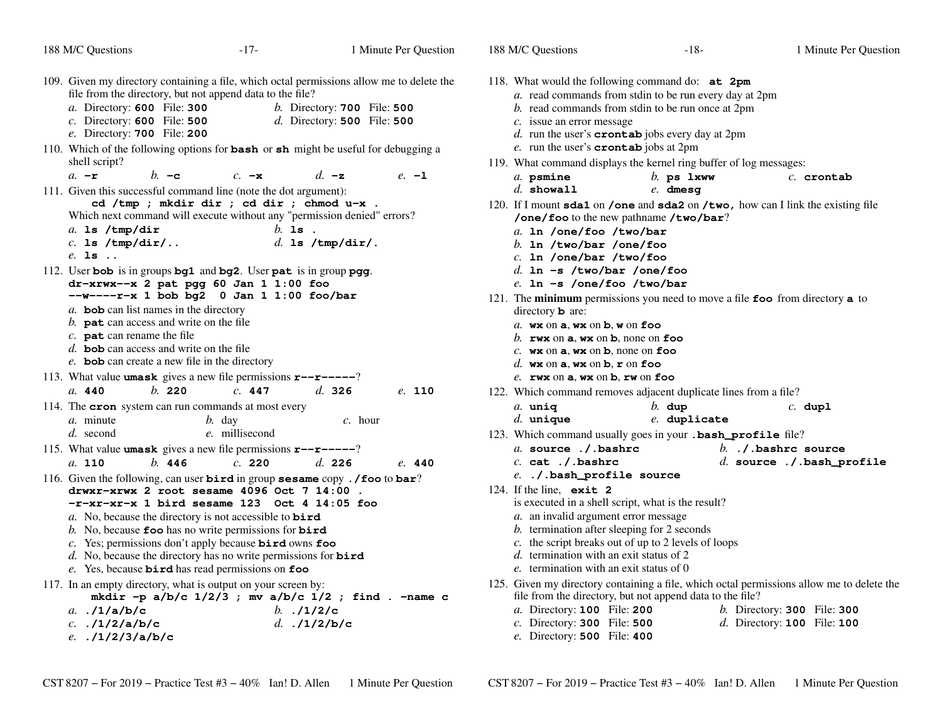| 188 M/C Questions                                                                                                                                                                                                                                                                                                                                                                                                                                                                                                                                                                                                                                                                                                                                                                                                         | $-17-$                                         | 1 Minute Per Question                                                             | 188 M/C Questions                                                                                                                                                                                                                                                                                              | $-18-$                                                                                                                                                                                                                                                                                                            | 1 Minute Per Question                                                             |
|---------------------------------------------------------------------------------------------------------------------------------------------------------------------------------------------------------------------------------------------------------------------------------------------------------------------------------------------------------------------------------------------------------------------------------------------------------------------------------------------------------------------------------------------------------------------------------------------------------------------------------------------------------------------------------------------------------------------------------------------------------------------------------------------------------------------------|------------------------------------------------|-----------------------------------------------------------------------------------|----------------------------------------------------------------------------------------------------------------------------------------------------------------------------------------------------------------------------------------------------------------------------------------------------------------|-------------------------------------------------------------------------------------------------------------------------------------------------------------------------------------------------------------------------------------------------------------------------------------------------------------------|-----------------------------------------------------------------------------------|
| 109. Given my directory containing a file, which octal permissions allow me to delete the<br>file from the directory, but not append data to the file?<br>a. Directory: 600 File: 300<br>$c.$ Directory: 600 File: 500<br>e. Directory: 700 File: 200<br>110. Which of the following options for <b>bash</b> or <b>sh</b> might be useful for debugging a<br>shell script?                                                                                                                                                                                                                                                                                                                                                                                                                                                |                                                | <i>b.</i> Directory: <b>700</b> File: <b>500</b><br>$d.$ Directory: 500 File: 500 | $c$ . issue an error message<br>e. run the user's <b>crontab</b> jobs at 2pm                                                                                                                                                                                                                                   | 118. What would the following command do: at 2pm<br>a. read commands from stdin to be run every day at 2pm<br>b. read commands from stdin to be run once at 2pm<br>$d.$ run the user's <b>crontab</b> jobs every day at 2pm                                                                                       |                                                                                   |
| $a. -r$<br>$b. -c$<br>111. Given this successful command line (note the dot argument):<br>cd /tmp ; mkdir dir ; cd dir ; chmod u-x .<br>Which next command will execute without any "permission denied" errors?<br>a. $ls /tmp/dir$<br>$c.$ 1s /tmp/dir/<br>$e.$ 1s $.$<br>112. User bob is in groups bg1 and bg2. User pat is in group pgg.<br>$dr-xrwx-x$ 2 pat pgg 60 Jan 1 1:00 foo<br>$-$ w----r-x 1 bob bg2 0 Jan 1 1:00 foo/bar<br>a. bob can list names in the directory<br>b. $\mathbf{pat}$ can access and write on the file<br>$c.$ pat can rename the file                                                                                                                                                                                                                                                    | $c. -x$<br>$b.$ is.<br>$d.$ 1s /tmp/dir/.      | $d. -z$<br>$e. -1$                                                                | $a.$ psmine<br>$d.$ showall<br>a. 1n /one/foo /two/bar<br>b. In /two/bar /one/foo<br>$c.$ 1n /one/bar /two/foo<br>$d.$ ln -s /two/bar /one/foo<br>$e$ . 1n -s /one/foo /two/bar<br>directory <b>b</b> are:<br>a. $wx$ on $a$ , $wx$ on $b$ , $w$ on $f$ oo<br>b. rwx on $a$ , wx on $b$ , none on foo          | 119. What command displays the kernel ring buffer of log messages:<br>$b$ . ps $1$ xww<br>$e.$ dmesg<br>120. If I mount sda1 on /one and sda2 on /two, how can I link the existing file<br>/one/foo to the new pathname /two/bar?<br>121. The minimum permissions you need to move a file foo from directory a to | $c.$ crontab                                                                      |
| d. <b>bob</b> can access and write on the file<br>e. bob can create a new file in the directory<br>113. What value <b>umask</b> gives a new file permissions $\mathbf{r}$ - $\mathbf{r}$ - $\mathbf{r}$ - $\mathbf{r}$ - $\mathbf{r}$<br>b. 220<br>a. 440<br>114. The <b>cron</b> system can run commands at most every<br>a. minute<br>d. second<br>115. What value <b>umask</b> gives a new file permissions $\mathbf{r}$ - $\mathbf{r}$ - $\mathbf{r}$ - $\mathbf{r}$<br>b. 446<br>$a.$ 110<br>116. Given the following, can user bird in group sesame copy . / foo to bar?<br>$drwxr-xrwx$ 2 root sesame 4096 Oct 7 14:00<br>$-r-xr-xr-x$ 1 bird sesame 123 Oct 4 14:05 foo<br>a. No, because the directory is not accessible to $\vec{b} \cdot \vec{r}$<br>b. No, because foo has no write permissions for $\vec{b}$ | c. 447<br>$b.$ day<br>e. millisecond<br>c. 220 | d.326<br>e. 110<br>$c.$ hour<br>d. 226<br>e. 440                                  | $c$ . wx on $a$ , wx on $b$ , none on foo<br>d. wx on $a$ , wx on $b$ , $r$ on foo<br>$e$ . rwx on $a$ , wx on $b$ , rw on foo<br>$a.$ uniq<br>$d.$ unique<br>a. source ./.bashrc<br>$c.$ cat $./$ . bashrc<br>e. ./.bash_profile source<br>124. If the line, $ext{2}$<br>a. an invalid argument error message | 122. Which command removes adjacent duplicate lines from a file?<br>$b.$ dup<br>e. duplicate<br>123. Which command usually goes in your . bash_profile file?<br>is executed in a shell script, what is the result?<br>b. termination after sleeping for 2 seconds                                                 | $c.$ dupl<br>b. $\Lambda$ . bashrc source<br>$d.$ source $.$ / . bash_profile     |
| c. Yes; permissions don't apply because bird owns foo<br>d. No, because the directory has no write permissions for $\vec{b} \cdot \vec{r}$<br>e. Yes, because bird has read permissions on foo<br>117. In an empty directory, what is output on your screen by:<br>mkdir -p $a/b/c$ 1/2/3 ; mv $a/b/c$ 1/2 ; find . -name c<br>a. $. /1/a/b/c$<br>c. $. /1/2/a/b/c$<br>e. $.1/2/3/a/b/c$                                                                                                                                                                                                                                                                                                                                                                                                                                  | b. $.11/2/c$<br>d. $. /1/2/b/c$                |                                                                                   | d. termination with an exit status of 2<br>e. termination with an exit status of 0<br>a. Directory: 100 File: 200<br>$c$ . Directory: 300 File: 500<br>e. Directory: 500 File: 400                                                                                                                             | c. the script breaks out of up to 2 levels of loops<br>125. Given my directory containing a file, which octal permissions allow me to delete the<br>file from the directory, but not append data to the file?                                                                                                     | <i>b.</i> Directory: <b>300</b> File: <b>300</b><br>$d.$ Directory: 100 File: 100 |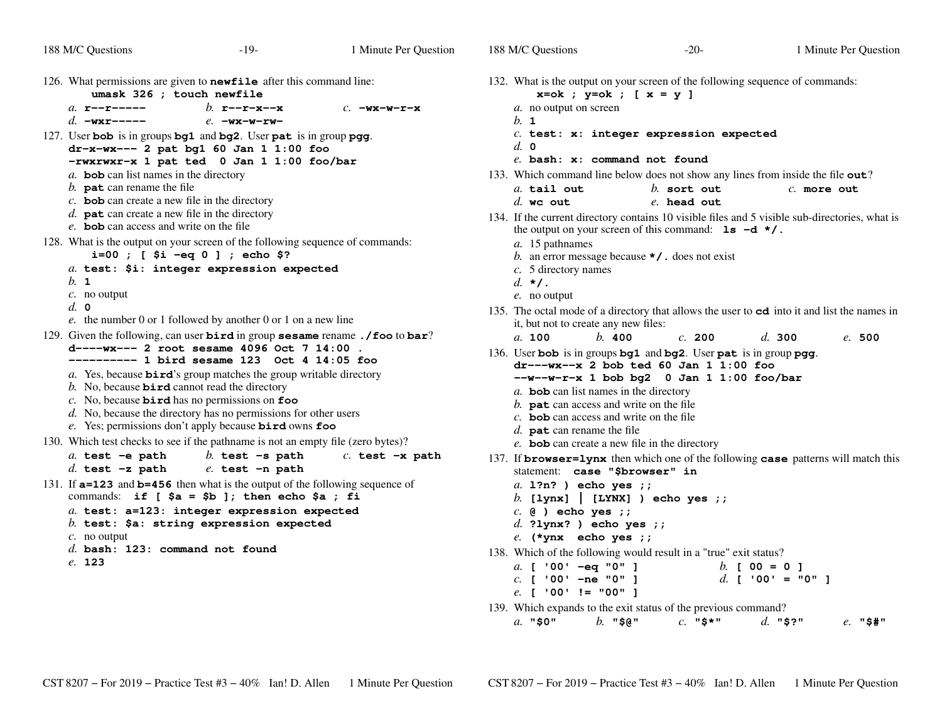| 188 M/C Questions                                                                                                                                            | $-19-$                                                                                                                                                                                                                                                                                                                                                                                                                                     | 1 Minute Per Question | 188 M/C Questions                                                                                                                                                                                                                     | $-20-$                                                                                                                                                                         | 1 Minute Per Question                                                                                           |
|--------------------------------------------------------------------------------------------------------------------------------------------------------------|--------------------------------------------------------------------------------------------------------------------------------------------------------------------------------------------------------------------------------------------------------------------------------------------------------------------------------------------------------------------------------------------------------------------------------------------|-----------------------|---------------------------------------------------------------------------------------------------------------------------------------------------------------------------------------------------------------------------------------|--------------------------------------------------------------------------------------------------------------------------------------------------------------------------------|-----------------------------------------------------------------------------------------------------------------|
| 126. What permissions are given to <b>newfile</b> after this command line:<br>umask 326 ; touch newfile                                                      |                                                                                                                                                                                                                                                                                                                                                                                                                                            |                       | $x=ok$ ; $y=ok$ ; $[x = y]$                                                                                                                                                                                                           | 132. What is the output on your screen of the following sequence of commands:                                                                                                  |                                                                                                                 |
| a. $r$ -- $r$ -----<br>d. $-wxr---$                                                                                                                          | b. $r = -r - x - x$<br>$e. -$ wx-w-rw-                                                                                                                                                                                                                                                                                                                                                                                                     | $c. -$ wx-w-r-x       | a. no output on screen<br>b. 1                                                                                                                                                                                                        |                                                                                                                                                                                |                                                                                                                 |
| 127. User bob is in groups bg1 and bg2. User pat is in group pgg.<br>a. bob can list names in the directory<br>b. $\mathbf{pat}$ can rename the file         | $dr-x-wx---$ 2 pat bg1 60 Jan 1 1:00 foo<br>-rwxrwxr-x 1 pat ted 0 Jan 1 1:00 foo/bar                                                                                                                                                                                                                                                                                                                                                      |                       | $d. \; \mathbf{0}$<br>e. bash: x: command not found                                                                                                                                                                                   | $c.$ test: $x:$ integer expression expected<br>133. Which command line below does not show any lines from inside the file out?                                                 |                                                                                                                 |
| $c$ . bob can create a new file in the directory<br>$d.$ pat can create a new file in the directory<br>e. <b>bob</b> can access and write on the file        |                                                                                                                                                                                                                                                                                                                                                                                                                                            |                       | a. tail out<br>$d.$ we out                                                                                                                                                                                                            | $b.$ sort out<br>e. head out<br>the output on your screen of this command: $1s -d \star/$ .                                                                                    | $c.$ more out<br>134. If the current directory contains 10 visible files and 5 visible sub-directories, what is |
| 128. What is the output on your screen of the following sequence of commands:<br>$b.$ 1<br>$c$ . no output<br>$d. \; \mathbf{0}$                             | $i=00$ ; [ $5i -eq 0$ ]; echo \$?<br>a. test: \$i: integer expression expected                                                                                                                                                                                                                                                                                                                                                             |                       | a. 15 pathnames<br>$c. 5$ directory names<br>$d. \star$ .<br>e. no output                                                                                                                                                             | b. an error message because $\star$ / . does not exist                                                                                                                         | 135. The octal mode of a directory that allows the user to cd into it and list the names in                     |
| 129. Given the following, can user bird in group sesame rename . / foo to bar?<br>b. No, because $\vec{b} \cdot \vec{r}$ cannot read the directory           | e. the number 0 or 1 followed by another 0 or 1 on a new line<br>d----wx--- 2 root sesame 4096 Oct 7 14:00.<br>$-------- 1$ bird sesame 123 Oct 4 14:05 foo<br>a. Yes, because <b>bird</b> 's group matches the group writable directory<br>$c$ . No, because <b>bird</b> has no permissions on $\textbf{foo}$<br>d. No, because the directory has no permissions for other users<br>e. Yes; permissions don't apply because bird owns foo |                       | it, but not to create any new files:<br>a. 100<br>b. 400<br>a. bob can list names in the directory<br>$b$ . pat can access and write on the file<br>$c$ . <b>bob</b> can access and write on the file<br>$d.$ pat can rename the file | c. 200<br>136. User bob is in groups bg1 and bg2. User pat is in group pgg.<br>$dr$ --- $wx$ -- $x$ 2 bob ted 60 Jan 1 1:00 foo<br>$-$ w--w-r-x 1 bob bg2 0 Jan 1 1:00 foo/bar | d.300<br>e.500                                                                                                  |
| 130. Which test checks to see if the pathname is not an empty file (zero bytes)?<br>$a.$ test -e path<br>$d.$ test $-z$ path                                 | b. test $-s$ path<br>$e.$ test $-n$ path                                                                                                                                                                                                                                                                                                                                                                                                   | $c.$ test $-x$ path   | e. bob can create a new file in the directory<br>statement: case "\$browser" in                                                                                                                                                       |                                                                                                                                                                                | 137. If <b>browser=lynx</b> then which one of the following case patterns will match this                       |
| 131. If <b>a=123</b> and <b>b=456</b> then what is the output of the following sequence of<br>$c$ . no output<br>$d.$ bash: 123: command not found<br>e. 123 | commands: if $[sa = $b]$ ; then echo \$a; fi<br>a. test: a=123: integer expression expected<br>$b.$ test: \$a: string expression expected                                                                                                                                                                                                                                                                                                  |                       | a. 1?n? ) echo yes ;;<br>$c.$ (e) echo yes ;;<br>d. ?lynx? ) echo yes ;;<br>$e.$ (*ynx echo yes ;;<br>a. [ '00' -eq "0" ]<br>$c.$ [ '00' -ne "0" ]<br>$e.$ [ '00' != "00" ]                                                           | b. [lynx]   [LYNX] ) echo yes ;;<br>138. Which of the following would result in a "true" exit status?<br>120 Which expends to the exit status of the provious command?         | b. $[00 = 0]$<br>d. [ '00' = "0" ]                                                                              |

139. Which expands to the exit status of the previous command? *a.* **"\$0"***b.* **"\$@"** *c.* **"\$\*"** *d.* **"\$?"** *e.* **"\$#"**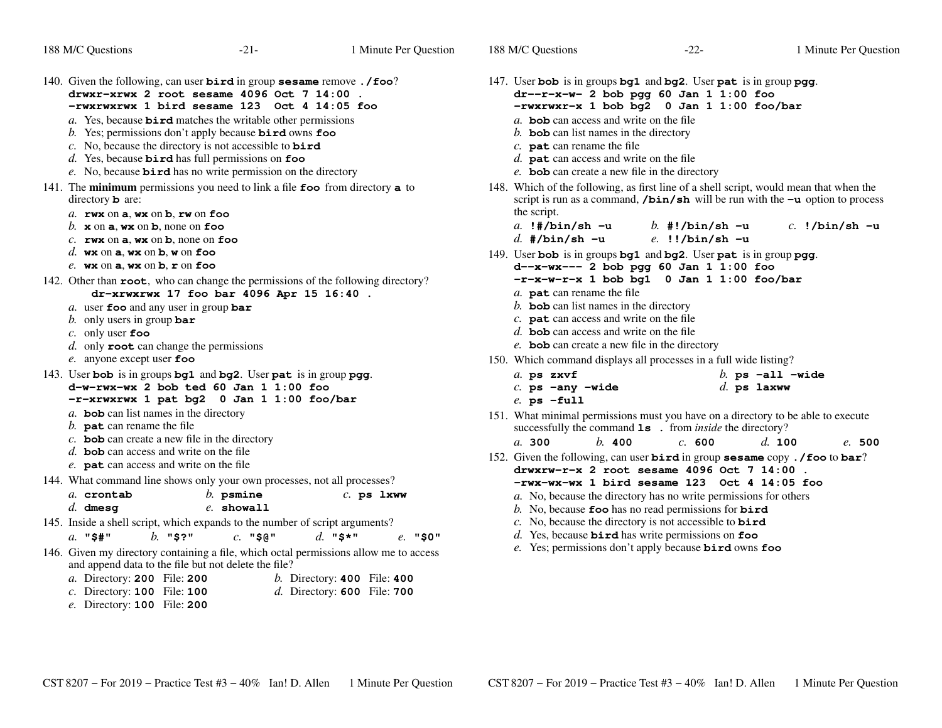| 188 M/C Questions                                                                                                                                                                                                                                                                                                                                                                                                                                                                                                                  | $-21-$                                                                                                                                                                                                                                                                                                                                                                                                                                                            | 1 Minute Per Question                                                                                     | 188 M/C Questions                                                                                                                                                                                                                                                                                                                                                                             | $-22-$                                                                                                                                                                                                                                                                                                                                                                                                                            | 1 Minute Per Question                                |  |  |
|------------------------------------------------------------------------------------------------------------------------------------------------------------------------------------------------------------------------------------------------------------------------------------------------------------------------------------------------------------------------------------------------------------------------------------------------------------------------------------------------------------------------------------|-------------------------------------------------------------------------------------------------------------------------------------------------------------------------------------------------------------------------------------------------------------------------------------------------------------------------------------------------------------------------------------------------------------------------------------------------------------------|-----------------------------------------------------------------------------------------------------------|-----------------------------------------------------------------------------------------------------------------------------------------------------------------------------------------------------------------------------------------------------------------------------------------------------------------------------------------------------------------------------------------------|-----------------------------------------------------------------------------------------------------------------------------------------------------------------------------------------------------------------------------------------------------------------------------------------------------------------------------------------------------------------------------------------------------------------------------------|------------------------------------------------------|--|--|
| 140. Given the following, can user bird in group sesame remove. / foo?<br>drwxr-xrwx 2 root sesame 4096 Oct 7 14:00.<br>-rwxrwxrwx 1 bird sesame 123 Oct 4 14:05 foo<br>$a$ . Yes, because <b>bird</b> matches the writable other permissions<br>b. Yes; permissions don't apply because $\vec{b}$ and owns $\vec{f}$ co<br>c. No, because the directory is not accessible to $\vec{b} \cdot \vec{r}$<br>d. Yes, because $\vec{b}$ and has full permissions on foo<br>e. No, because bird has no write permission on the directory |                                                                                                                                                                                                                                                                                                                                                                                                                                                                   |                                                                                                           | 147. User bob is in groups bg1 and bg2. User pat is in group pgg.<br>$dr - r - x - w - 2$ bob pgg 60 Jan 1 1:00 foo<br>-rwxrwxr-x 1 bob bg2 0 Jan 1 1:00 foo/bar<br>a. <b>bob</b> can access and write on the file<br>$b$ . bob can list names in the directory<br>$c.$ pat can rename the file<br>$d.$ pat can access and write on the file<br>e. bob can create a new file in the directory |                                                                                                                                                                                                                                                                                                                                                                                                                                   |                                                      |  |  |
|                                                                                                                                                                                                                                                                                                                                                                                                                                                                                                                                    | 141. The minimum permissions you need to link a file $\epsilon$ from directory a to<br>directory <b>b</b> are:<br>a. $rwx$ on $a$ , $wx$ on $b$ , $rw$ on $foo$<br>b. $x$ on $a$ , wx on $b$ , none on foo<br>c. $rwx$ on a, wx on b, none on foo<br>d. $wx$ on a, $wx$ on b, $w$ on foo<br>e. $wx$ on $a$ , $wx$ on $b$ , $r$ on foo                                                                                                                             |                                                                                                           |                                                                                                                                                                                                                                                                                                                                                                                               | 148. Which of the following, as first line of a shell script, would mean that when the<br>script is run as a command, $/bin/sh$ will be run with the $-u$ option to process<br>the script.<br>a. $!$ #/bin/sh -u<br>b. #!/bin/sh $-u$<br>$c.$ !/bin/sh -u<br>d. #/bin/sh $-u$<br>$e.$ !!/bin/sh -u<br>149. User bob is in groups bg1 and bg2. User pat is in group pgg.<br>d--x-wx--- 2 bob pgg 60 Jan 1 1:00 foo                 |                                                      |  |  |
| 142. Other than <b>root</b> , who can change the permissions of the following directory?<br>dr-xrwxrwx 17 foo bar 4096 Apr 15 16:40.<br>a. user foo and any user in group bar<br>b. only users in group bar<br>$c$ . only user foo<br>$d.$ only <b>root</b> can change the permissions<br>e. anyone except user $\epsilon$ oo                                                                                                                                                                                                      |                                                                                                                                                                                                                                                                                                                                                                                                                                                                   |                                                                                                           | $-r-x-w-r-x$ 1 bob bg1 0 Jan 1 1:00 foo/bar<br>a. <b>pat</b> can rename the file<br>$b$ . bob can list names in the directory<br>$c$ . <b>pat</b> can access and write on the file<br>$d.$ bob can access and write on the file<br>e. <b>bob</b> can create a new file in the directory<br>150. Which command displays all processes in a full wide listing?                                  |                                                                                                                                                                                                                                                                                                                                                                                                                                   |                                                      |  |  |
|                                                                                                                                                                                                                                                                                                                                                                                                                                                                                                                                    | 143. User bob is in groups bg1 and bg2. User pat is in group pgg.<br>$d-w-rwx-wx$ 2 bob ted 60 Jan 1 1:00 foo<br>-r-xrwxrwx 1 pat bg2 0 Jan 1 1:00 foo/bar                                                                                                                                                                                                                                                                                                        |                                                                                                           | a. ps zxvf<br>$c.$ ps $-\text{any } -\text{wide}$<br>$e.$ ps $-full$                                                                                                                                                                                                                                                                                                                          |                                                                                                                                                                                                                                                                                                                                                                                                                                   | b. ps $-\text{all }$ $-\text{wide}$<br>$d.$ ps laxww |  |  |
| $b$ . pat can rename the file                                                                                                                                                                                                                                                                                                                                                                                                                                                                                                      | a. bob can list names in the directory<br>$c$ . <b>bob</b> can create a new file in the directory                                                                                                                                                                                                                                                                                                                                                                 |                                                                                                           | 151. What minimal permissions must you have on a directory to be able to execute<br>b. 400<br>a. 300                                                                                                                                                                                                                                                                                          | successfully the command <b>1s</b> . from <i>inside</i> the directory?<br>c. 600                                                                                                                                                                                                                                                                                                                                                  | d. 100<br>e. 500                                     |  |  |
| a. crontab<br>$d.$ dmesq<br>$a.$ "\$#"<br>a. Directory: 200 File: 200<br>$c.$ Directory: 100 File: 100<br>e. Directory: 100 File: 200                                                                                                                                                                                                                                                                                                                                                                                              | d. <b>bob</b> can access and write on the file<br>e. pat can access and write on the file<br>144. What command line shows only your own processes, not all processes?<br>$b.$ psmine<br>$e.$ showall<br>145. Inside a shell script, which expands to the number of script arguments?<br>$b.$ "\$?"<br>$c.$ "\$@"<br>146. Given my directory containing a file, which octal permissions allow me to access<br>and append data to the file but not delete the file? | $c.$ ps $1$ xww<br>d. "\$*"<br>$e.$ "\$0"<br>$b.$ Directory: 400 File: 400<br>d. Directory: 600 File: 700 | 152. Given the following, can user bird in group sesame copy. /foo to bar?                                                                                                                                                                                                                                                                                                                    | drwxrw-r-x 2 root sesame $4096$ Oct 7 14:00<br>-rwx-wx-wx 1 bird sesame 123 Oct 4 14:05 foo<br>a. No, because the directory has no write permissions for others<br>b. No, because foo has no read permissions for $\vec{b}$<br>c. No, because the directory is not accessible to $\vec{b} \cdot \vec{r}$<br>$d.$ Yes, because <b>bird</b> has write permissions on $foo$<br>e. Yes; permissions don't apply because bird owns foo |                                                      |  |  |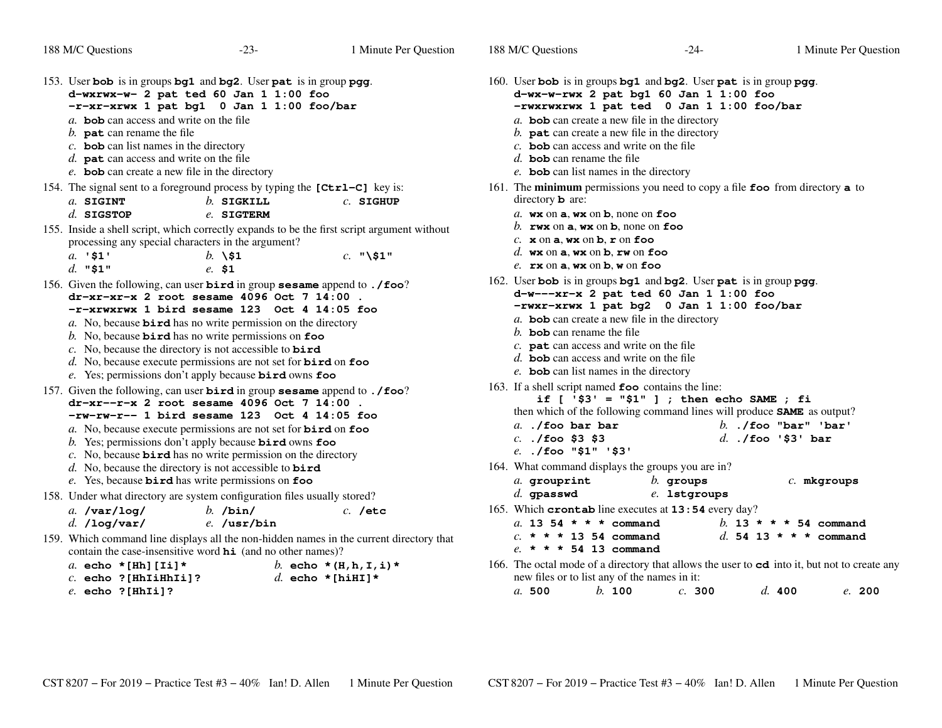| 188 M/C Questions                                                                                                                                                                                                                                                                               | $-23-$                                                                                                                                                                                                                                                                                                                                                                                                                                                                                             | 1 Minute Per Question                     | 188 M/C Questions                                                                                                                                                                                                                                                                                               | $-24-$                                                                                                                                       | 1 Minute Per Question                                                                                            |
|-------------------------------------------------------------------------------------------------------------------------------------------------------------------------------------------------------------------------------------------------------------------------------------------------|----------------------------------------------------------------------------------------------------------------------------------------------------------------------------------------------------------------------------------------------------------------------------------------------------------------------------------------------------------------------------------------------------------------------------------------------------------------------------------------------------|-------------------------------------------|-----------------------------------------------------------------------------------------------------------------------------------------------------------------------------------------------------------------------------------------------------------------------------------------------------------------|----------------------------------------------------------------------------------------------------------------------------------------------|------------------------------------------------------------------------------------------------------------------|
| 153. User bob is in groups bg1 and bg2. User pat is in group pgg.<br>a. <b>bob</b> can access and write on the file<br>$b$ . pat can rename the file<br>$c$ . bob can list names in the directory<br>$d.$ pat can access and write on the file<br>e. bob can create a new file in the directory | d-wxrwx-w- 2 pat ted 60 Jan 1 1:00 foo<br>-r-xr-xrwx 1 pat bg1 0 Jan 1 1:00 foo/bar                                                                                                                                                                                                                                                                                                                                                                                                                |                                           | 160. User bob is in groups bg1 and bg2. User pat is in group pgg.<br>a. bob can create a new file in the directory<br>b. $\mathbf{pat}$ can create a new file in the directory<br>c. <b>bob</b> can access and write on the file<br>d. bob can rename the file<br>e. <b>bob</b> can list names in the directory | $d-wx-w-rwx$ 2 pat bg1 60 Jan 1 1:00 foo<br>-rwxrwxrwx 1 pat ted 0 Jan 1 1:00 foo/bar                                                        |                                                                                                                  |
| 154. The signal sent to a foreground process by typing the [Ctrl–C] key is:<br>a. SIGINT<br>$d.$ SIGSTOP                                                                                                                                                                                        | $b.$ SIGKILL<br>e. SIGTERM                                                                                                                                                                                                                                                                                                                                                                                                                                                                         | $c.$ SIGHUP                               | 161. The minimum permissions you need to copy a file foo from directory a to<br>directory $b$ are:<br>a. $wx$ on $a$ , $wx$ on $b$ , none on foo                                                                                                                                                                |                                                                                                                                              |                                                                                                                  |
| 155. Inside a shell script, which correctly expands to be the first script argument without<br>processing any special characters in the argument?<br>$a.$ '\$1'<br>d. $"$1"$                                                                                                                    | $b. \times 1$<br>$e. \$1$                                                                                                                                                                                                                                                                                                                                                                                                                                                                          | $c.$ "\\$1"                               | b. rwx on $a$ , wx on $b$ , none on foo<br>c. $x$ on $a$ , $wx$ on $b$ , $r$ on foo<br>d. $wx$ on a, $wx$ on b, $rw$ on foo<br>e. $rx$ on $a$ , $wx$ on $b$ , $w$ on $f$ oo                                                                                                                                     |                                                                                                                                              |                                                                                                                  |
| 156. Given the following, can user bird in group sesame append to . / foo?                                                                                                                                                                                                                      | $dr - xr - xr - x$ 2 root sesame 4096 Oct 7 14:00<br>$-r-xrwxrwx$ 1 bird sesame 123 Oct 4 14:05 foo<br>a. No, because $\vec{b} \cdot \vec{r}$ as no write permission on the directory<br>b. No, because <b>bird</b> has no write permissions on $\textbf{foo}$<br>c. No, because the directory is not accessible to $\vec{b} \cdot \vec{r}$<br>d. No, because execute permissions are not set for $\vec{b} \cdot \vec{r}$ on $\vec{f}$ oo<br>e. Yes; permissions don't apply because bird owns foo |                                           | 162. User bob is in groups bg1 and bg2. User pat is in group pgg.<br>a. bob can create a new file in the directory<br>b. bob can rename the file<br>c. $\mathbf{pat}$ can access and write on the file<br>$d.$ bob can access and write on the file<br>e. bob can list names in the directory                   | $d-w--xr-x$ 2 pat ted 60 Jan 1 1:00 foo<br>-rwxr-xrwx 1 pat bg2 0 Jan 1 1:00 foo/bar                                                         |                                                                                                                  |
| 157. Given the following, can user <b>bird</b> in group <b>sesame</b> append to . /foo?                                                                                                                                                                                                         | $dr - xr - r - x$ 2 root sesame 4096 Oct 7 14:00<br>$-rw-rw-r--1$ bird sesame 123 Oct 4 14:05 foo<br>a. No, because execute permissions are not set for <b>bird</b> on foo<br>b. Yes; permissions don't apply because $\vec{b}$ and owns foo<br>c. No, because $\vec{b}$ and has no write permission on the directory<br>d. No, because the directory is not accessible to $\vec{b} \cdot \vec{r}$<br>e. Yes, because bird has write permissions on foo                                            |                                           | 163. If a shell script named <b>foo</b> contains the line:<br>$a.$ ./foo bar bar<br>$c.$ ./foo \$3 \$3<br>$e.$ ./foo "\$1" '\$3'<br>164. What command displays the groups you are in?<br>a. grouprint                                                                                                           | if $[$ '\$3' = "\$1" ] ; then echo SAME ; fi<br>then which of the following command lines will produce <b>SAME</b> as output?<br>$b.$ groups | $b.$ ./foo "bar" 'bar'<br>$d.$ ./foo '\$3' bar<br>$c.$ mkgroups                                                  |
| 158. Under what directory are system configuration files usually stored?<br>a. $\sqrt{var/log}/$<br>$d.$ /log/var/<br>159. Which command line displays all the non-hidden names in the current directory that                                                                                   | $b.$ /bin/<br>$e.$ /usr/bin<br>contain the case-insensitive word $\boldsymbol{hi}$ (and no other names)?                                                                                                                                                                                                                                                                                                                                                                                           | $c.$ /etc                                 | $d.$ gpasswd<br>165. Which crontab line executes at 13:54 every day?<br>a. 13 54 * * * command<br>$c. * * * 1354$ command<br>$e. * * * 54 13$ command                                                                                                                                                           | e. 1stgroups                                                                                                                                 | b. 13 * * * 54 command<br>d. 54 13 * * * command                                                                 |
| a. echo * [Hh] [Ii] *<br>$c.$ echo ? [HhIiHhIi]?<br>$e.$ echo ? [HhIi]?                                                                                                                                                                                                                         |                                                                                                                                                                                                                                                                                                                                                                                                                                                                                                    | b. echo $*(H,h,I,i)*$<br>d. echo *[hiHI]* | new files or to list any of the names in it:<br>b. 100<br>a.500                                                                                                                                                                                                                                                 | c. 300                                                                                                                                       | 166. The octal mode of a directory that allows the user to cd into it, but not to create any<br>d. 400<br>e. 200 |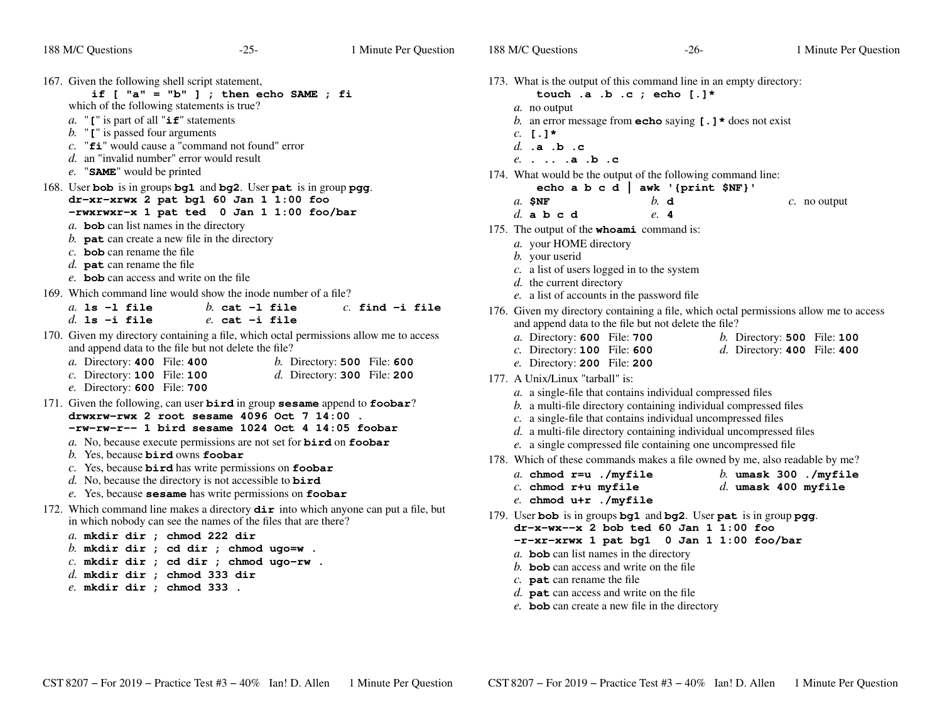| 167. Given the following shell script statement,<br>if $[$ "a" = "b" ] ; then echo SAME ; fi<br>which of the following statements is true?<br>a. " $\mathbf{r}$ " is part of all " $\mathbf{if}$ " statements<br>$b$ . " $\mathbf{I}$ " is passed four arguments<br>$c.$ " $f$ i" would cause a "command not found" error<br>d. an "invalid number" error would result<br>e. "SAME" would be printed                                                                                                 |
|------------------------------------------------------------------------------------------------------------------------------------------------------------------------------------------------------------------------------------------------------------------------------------------------------------------------------------------------------------------------------------------------------------------------------------------------------------------------------------------------------|
| 168. User bob is in groups bg1 and bg2. User pat is in group pgg.<br>dr-xr-xrwx 2 pat bg1 60 Jan 1 1:00 foo<br>-rwxrwxr-x 1 pat ted 0 Jan 1 1:00 foo/bar<br>$a$ . bob can list names in the directory<br>b. $\mathbf{pat}$ can create a new file in the directory<br>$c$ . bob can rename the file<br>d. <b>pat</b> can rename the file<br>e. <b>bob</b> can access and write on the file                                                                                                            |
| 169. Which command line would show the inode number of a file?<br>$a$ . 1s $-1$ file<br>$h$ cat $-1$ file<br>$c.$ find $-$ i file<br>$d.$ ls $-i$ file<br>$e.$ cat $-i$ file                                                                                                                                                                                                                                                                                                                         |
| 170. Given my directory containing a file, which octal permissions allow me to access<br>and append data to the file but not delete the file?<br>a. Directory: 400 File: 400<br>$b$ . Directory: 500 File: 600<br>$c.$ Directory: 100 File: 100<br>$d.$ Directory: 300 File: 200<br>e. Directory: 600 File: 700                                                                                                                                                                                      |
| 171. Given the following, can user bird in group sesame append to foobar?<br>drwxrw-rwx 2 root sesame 4096 Oct 7 14:00.<br>-rw-rw-r-- 1 bird sesame 1024 Oct 4 14:05 foobar<br>a. No, because execute permissions are not set for <b>bird</b> on <b>foobar</b><br>b. Yes, because bird owns foobar<br>$c$ . Yes, because bird has write permissions on foobar<br>d. No, because the directory is not accessible to $\vec{b} \cdot \vec{r}$<br>e. Yes, because sesame has write permissions on foobar |
| 172. Which command line makes a directory $\text{dir}$ into which anyone can put a file, but<br>in which nobody can see the names of the files that are there?<br>a. mkdir dir ; chmod 222 dir<br>b. mkdir dir ; cd dir ; chmod ugo=w.<br>$c.$ mkdir dir ; cd dir ; chmod ugo-rw.<br>$d.$ mkdir dir ; chmod 333 dir                                                                                                                                                                                  |

*e.* **mkdir dir ; chmod 333 .**

| 173. What is the output of this command line in an empty directory:<br>touch .a .b .c ; echo [.]* |
|---------------------------------------------------------------------------------------------------|
| a. no output                                                                                      |
| b. an error message from <b>echo</b> saying $[\cdot]$ * does not exist                            |
| $c. [.]$ *                                                                                        |
| d. .a .b .c                                                                                       |
| $e.$ $a.b.c$                                                                                      |
| 174. What would be the output of the following command line:                                      |
| echo a b c d   awk '{print \$NF}'                                                                 |
| $h$ . d<br>$a$ . SNF<br>$c$ . no output                                                           |
| d a b c d<br>e. 4                                                                                 |
| 175. The output of the <b>whoami</b> command is:                                                  |
| a. your HOME directory                                                                            |
| b. your userid                                                                                    |
| $c$ . a list of users logged in to the system                                                     |
| $d.$ the current directory                                                                        |
| e. a list of accounts in the password file                                                        |
| 176. Given my directory containing a file, which octal permissions allow me to access             |
| and append data to the file but not delete the file?                                              |
| a. Directory: 600 File: 700<br>$b.$ Directory: 500 File: 100                                      |
| $c.$ Directory: 100 File: 600<br>$d.$ Directory: 400 File: 400                                    |
| e. Directory: 200 File: 200                                                                       |
| 177. A Unix/Linux "tarball" is:                                                                   |
| a. a single-file that contains individual compressed files                                        |
| b. a multi-file directory containing individual compressed files                                  |
| c. a single-file that contains individual uncompressed files                                      |
| d. a multi-file directory containing individual uncompressed files                                |
| e. a single compressed file containing one uncompressed file                                      |
| 178. Which of these commands makes a file owned by me, also readable by me?                       |
| a. chmod $r = u$ ./myfile<br>$b.$ umask 300 ./myfile                                              |
| $c.$ chmod r+u myfile<br>$d.$ umask 400 myfile                                                    |
| $e.$ chmod $u+r$ ./myfile                                                                         |
| 179. User bob is in groups bg1 and bg2. User pat is in group pgg.                                 |
| $dr-x-wx-x$ 2 bob ted 60 Jan 1 1:00 foo                                                           |
| -r-xr-xrwx 1 pat bg1 0 Jan 1 1:00 foo/bar                                                         |
| $a$ . bob can list names in the directory                                                         |
| b. <b>bob</b> can access and write on the file                                                    |
| $c.$ pat can rename the file<br>$\sim$ 1                                                          |

- 
- *d.* **pat** can access and write on the file
- *e.* **bob** can create a new file in the directory